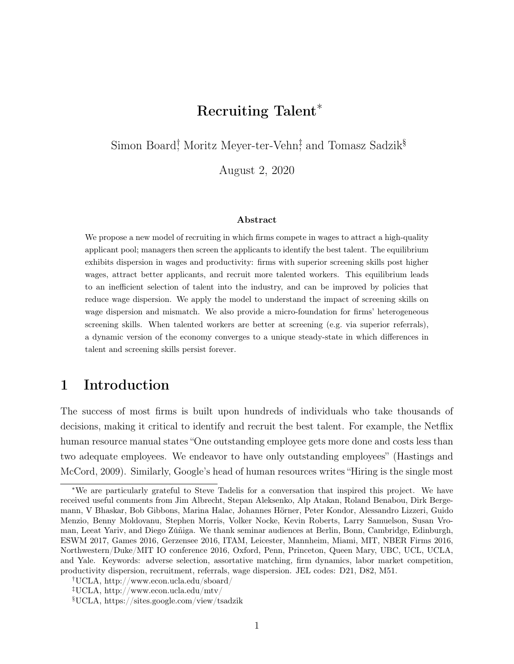# Recruiting Talent<sup>∗</sup>

Simon Board<sup>†</sup>, Moritz Meyer-ter-Vehn<sup>‡</sup> and Tomasz Sadzik<sup>§</sup>

August 2, 2020

#### Abstract

We propose a new model of recruiting in which firms compete in wages to attract a high-quality applicant pool; managers then screen the applicants to identify the best talent. The equilibrium exhibits dispersion in wages and productivity: firms with superior screening skills post higher wages, attract better applicants, and recruit more talented workers. This equilibrium leads to an inefficient selection of talent into the industry, and can be improved by policies that reduce wage dispersion. We apply the model to understand the impact of screening skills on wage dispersion and mismatch. We also provide a micro-foundation for firms' heterogeneous screening skills. When talented workers are better at screening (e.g. via superior referrals), a dynamic version of the economy converges to a unique steady-state in which differences in talent and screening skills persist forever.

# 1 Introduction

The success of most firms is built upon hundreds of individuals who take thousands of decisions, making it critical to identify and recruit the best talent. For example, the Netflix human resource manual states "One outstanding employee gets more done and costs less than two adequate employees. We endeavor to have only outstanding employees" (Hastings and McCord, 2009). Similarly, Google's head of human resources writes "Hiring is the single most

<sup>∗</sup>We are particularly grateful to Steve Tadelis for a conversation that inspired this project. We have received useful comments from Jim Albrecht, Stepan Aleksenko, Alp Atakan, Roland Benabou, Dirk Bergemann, V Bhaskar, Bob Gibbons, Marina Halac, Johannes Hörner, Peter Kondor, Alessandro Lizzeri, Guido Menzio, Benny Moldovanu, Stephen Morris, Volker Nocke, Kevin Roberts, Larry Samuelson, Susan Vroman, Leeat Yariv, and Diego Zúñiga. We thank seminar audiences at Berlin, Bonn, Cambridge, Edinburgh, ESWM 2017, Games 2016, Gerzensee 2016, ITAM, Leicester, Mannheim, Miami, MIT, NBER Firms 2016, Northwestern/Duke/MIT IO conference 2016, Oxford, Penn, Princeton, Queen Mary, UBC, UCL, UCLA, and Yale. Keywords: adverse selection, assortative matching, firm dynamics, labor market competition, productivity dispersion, recruitment, referrals, wage dispersion. JEL codes: D21, D82, M51.

<sup>†</sup>UCLA, http://www.econ.ucla.edu/sboard/

<sup>‡</sup>UCLA, http://www.econ.ucla.edu/mtv/

<sup>§</sup>UCLA, https://sites.google.com/view/tsadzik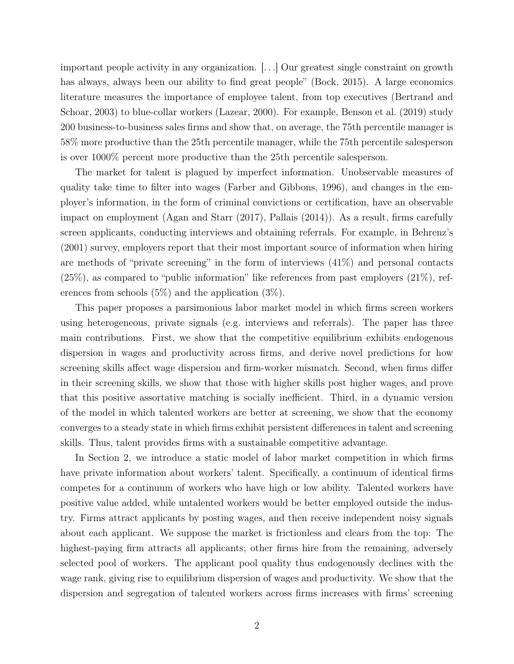important people activity in any organization. [. . .] Our greatest single constraint on growth has always, always been our ability to find great people" (Bock, 2015). A large economics literature measures the importance of employee talent, from top executives (Bertrand and Schoar, 2003) to blue-collar workers (Lazear, 2000). For example, Benson et al. (2019) study 200 business-to-business sales firms and show that, on average, the 75th percentile manager is 58% more productive than the 25th percentile manager, while the 75th percentile salesperson is over 1000% percent more productive than the 25th percentile salesperson.

The market for talent is plagued by imperfect information. Unobservable measures of quality take time to filter into wages (Farber and Gibbons, 1996), and changes in the employer's information, in the form of criminal convictions or certification, have an observable impact on employment (Agan and Starr (2017), Pallais (2014)). As a result, firms carefully screen applicants, conducting interviews and obtaining referrals. For example, in Behrenz's (2001) survey, employers report that their most important source of information when hiring are methods of "private screening" in the form of interviews (41%) and personal contacts  $(25\%)$ , as compared to "public information" like references from past employers  $(21\%)$ , references from schools (5%) and the application (3%).

This paper proposes a parsimonious labor market model in which firms screen workers using heterogeneous, private signals (e.g. interviews and referrals). The paper has three main contributions. First, we show that the competitive equilibrium exhibits endogenous dispersion in wages and productivity across firms, and derive novel predictions for how screening skills affect wage dispersion and firm-worker mismatch. Second, when firms differ in their screening skills, we show that those with higher skills post higher wages, and prove that this positive assortative matching is socially inefficient. Third, in a dynamic version of the model in which talented workers are better at screening, we show that the economy converges to a steady state in which firms exhibit persistent differences in talent and screening skills. Thus, talent provides firms with a sustainable competitive advantage.

In Section 2, we introduce a static model of labor market competition in which firms have private information about workers' talent. Specifically, a continuum of identical firms competes for a continuum of workers who have high or low ability. Talented workers have positive value added, while untalented workers would be better employed outside the industry. Firms attract applicants by posting wages, and then receive independent noisy signals about each applicant. We suppose the market is frictionless and clears from the top: The highest-paying firm attracts all applicants; other firms hire from the remaining, adversely selected pool of workers. The applicant pool quality thus endogenously declines with the wage rank, giving rise to equilibrium dispersion of wages and productivity. We show that the dispersion and segregation of talented workers across firms increases with firms' screening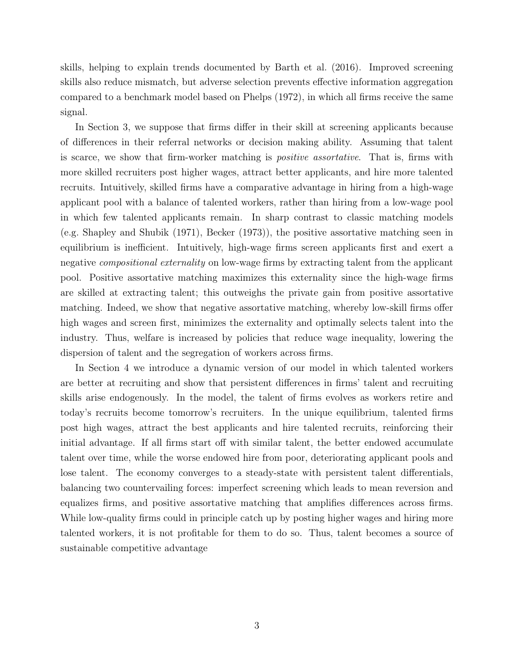skills, helping to explain trends documented by Barth et al. (2016). Improved screening skills also reduce mismatch, but adverse selection prevents effective information aggregation compared to a benchmark model based on Phelps (1972), in which all firms receive the same signal.

In Section 3, we suppose that firms differ in their skill at screening applicants because of differences in their referral networks or decision making ability. Assuming that talent is scarce, we show that firm-worker matching is positive assortative. That is, firms with more skilled recruiters post higher wages, attract better applicants, and hire more talented recruits. Intuitively, skilled firms have a comparative advantage in hiring from a high-wage applicant pool with a balance of talented workers, rather than hiring from a low-wage pool in which few talented applicants remain. In sharp contrast to classic matching models (e.g. Shapley and Shubik (1971), Becker (1973)), the positive assortative matching seen in equilibrium is inefficient. Intuitively, high-wage firms screen applicants first and exert a negative compositional externality on low-wage firms by extracting talent from the applicant pool. Positive assortative matching maximizes this externality since the high-wage firms are skilled at extracting talent; this outweighs the private gain from positive assortative matching. Indeed, we show that negative assortative matching, whereby low-skill firms offer high wages and screen first, minimizes the externality and optimally selects talent into the industry. Thus, welfare is increased by policies that reduce wage inequality, lowering the dispersion of talent and the segregation of workers across firms.

In Section 4 we introduce a dynamic version of our model in which talented workers are better at recruiting and show that persistent differences in firms' talent and recruiting skills arise endogenously. In the model, the talent of firms evolves as workers retire and today's recruits become tomorrow's recruiters. In the unique equilibrium, talented firms post high wages, attract the best applicants and hire talented recruits, reinforcing their initial advantage. If all firms start off with similar talent, the better endowed accumulate talent over time, while the worse endowed hire from poor, deteriorating applicant pools and lose talent. The economy converges to a steady-state with persistent talent differentials, balancing two countervailing forces: imperfect screening which leads to mean reversion and equalizes firms, and positive assortative matching that amplifies differences across firms. While low-quality firms could in principle catch up by posting higher wages and hiring more talented workers, it is not profitable for them to do so. Thus, talent becomes a source of sustainable competitive advantage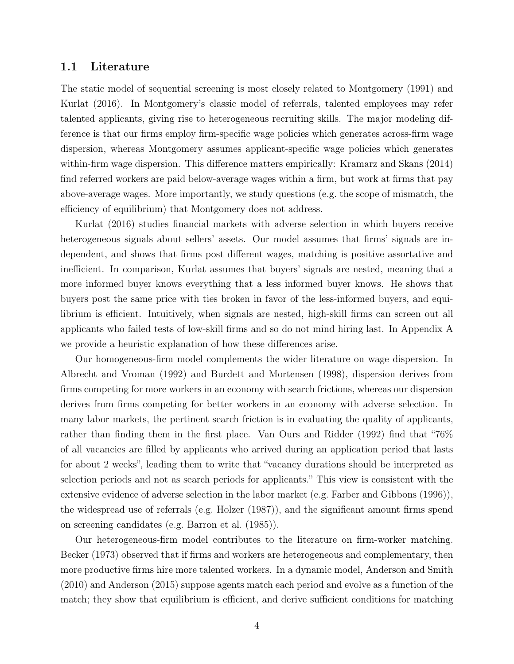### 1.1 Literature

The static model of sequential screening is most closely related to Montgomery (1991) and Kurlat (2016). In Montgomery's classic model of referrals, talented employees may refer talented applicants, giving rise to heterogeneous recruiting skills. The major modeling difference is that our firms employ firm-specific wage policies which generates across-firm wage dispersion, whereas Montgomery assumes applicant-specific wage policies which generates within-firm wage dispersion. This difference matters empirically: Kramarz and Skans (2014) find referred workers are paid below-average wages within a firm, but work at firms that pay above-average wages. More importantly, we study questions (e.g. the scope of mismatch, the efficiency of equilibrium) that Montgomery does not address.

Kurlat (2016) studies financial markets with adverse selection in which buyers receive heterogeneous signals about sellers' assets. Our model assumes that firms' signals are independent, and shows that firms post different wages, matching is positive assortative and inefficient. In comparison, Kurlat assumes that buyers' signals are nested, meaning that a more informed buyer knows everything that a less informed buyer knows. He shows that buyers post the same price with ties broken in favor of the less-informed buyers, and equilibrium is efficient. Intuitively, when signals are nested, high-skill firms can screen out all applicants who failed tests of low-skill firms and so do not mind hiring last. In Appendix A we provide a heuristic explanation of how these differences arise.

Our homogeneous-firm model complements the wider literature on wage dispersion. In Albrecht and Vroman (1992) and Burdett and Mortensen (1998), dispersion derives from firms competing for more workers in an economy with search frictions, whereas our dispersion derives from firms competing for better workers in an economy with adverse selection. In many labor markets, the pertinent search friction is in evaluating the quality of applicants, rather than finding them in the first place. Van Ours and Ridder (1992) find that "76% of all vacancies are filled by applicants who arrived during an application period that lasts for about 2 weeks", leading them to write that "vacancy durations should be interpreted as selection periods and not as search periods for applicants." This view is consistent with the extensive evidence of adverse selection in the labor market (e.g. Farber and Gibbons (1996)), the widespread use of referrals (e.g. Holzer (1987)), and the significant amount firms spend on screening candidates (e.g. Barron et al. (1985)).

Our heterogeneous-firm model contributes to the literature on firm-worker matching. Becker (1973) observed that if firms and workers are heterogeneous and complementary, then more productive firms hire more talented workers. In a dynamic model, Anderson and Smith (2010) and Anderson (2015) suppose agents match each period and evolve as a function of the match; they show that equilibrium is efficient, and derive sufficient conditions for matching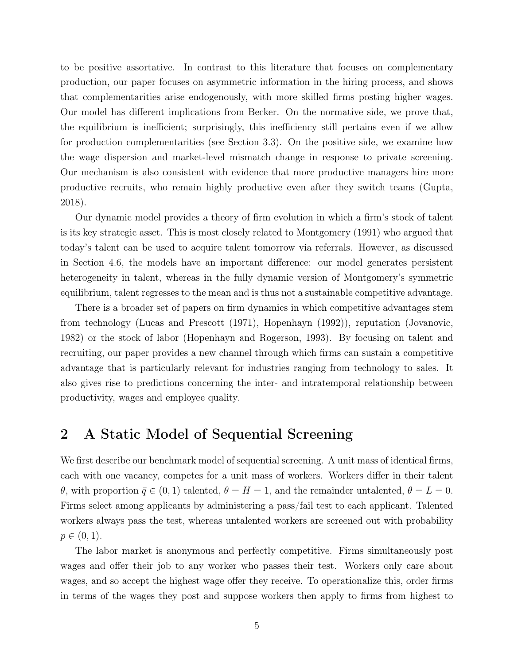to be positive assortative. In contrast to this literature that focuses on complementary production, our paper focuses on asymmetric information in the hiring process, and shows that complementarities arise endogenously, with more skilled firms posting higher wages. Our model has different implications from Becker. On the normative side, we prove that, the equilibrium is inefficient; surprisingly, this inefficiency still pertains even if we allow for production complementarities (see Section 3.3). On the positive side, we examine how the wage dispersion and market-level mismatch change in response to private screening. Our mechanism is also consistent with evidence that more productive managers hire more productive recruits, who remain highly productive even after they switch teams (Gupta, 2018).

Our dynamic model provides a theory of firm evolution in which a firm's stock of talent is its key strategic asset. This is most closely related to Montgomery (1991) who argued that today's talent can be used to acquire talent tomorrow via referrals. However, as discussed in Section 4.6, the models have an important difference: our model generates persistent heterogeneity in talent, whereas in the fully dynamic version of Montgomery's symmetric equilibrium, talent regresses to the mean and is thus not a sustainable competitive advantage.

There is a broader set of papers on firm dynamics in which competitive advantages stem from technology (Lucas and Prescott (1971), Hopenhayn (1992)), reputation (Jovanovic, 1982) or the stock of labor (Hopenhayn and Rogerson, 1993). By focusing on talent and recruiting, our paper provides a new channel through which firms can sustain a competitive advantage that is particularly relevant for industries ranging from technology to sales. It also gives rise to predictions concerning the inter- and intratemporal relationship between productivity, wages and employee quality.

# 2 A Static Model of Sequential Screening

We first describe our benchmark model of sequential screening. A unit mass of identical firms, each with one vacancy, competes for a unit mass of workers. Workers differ in their talent θ, with proportion  $\bar{q}$  ∈ (0, 1) talented,  $θ = H = 1$ , and the remainder untalented,  $θ = L = 0$ . Firms select among applicants by administering a pass/fail test to each applicant. Talented workers always pass the test, whereas untalented workers are screened out with probability  $p \in (0, 1)$ .

The labor market is anonymous and perfectly competitive. Firms simultaneously post wages and offer their job to any worker who passes their test. Workers only care about wages, and so accept the highest wage offer they receive. To operationalize this, order firms in terms of the wages they post and suppose workers then apply to firms from highest to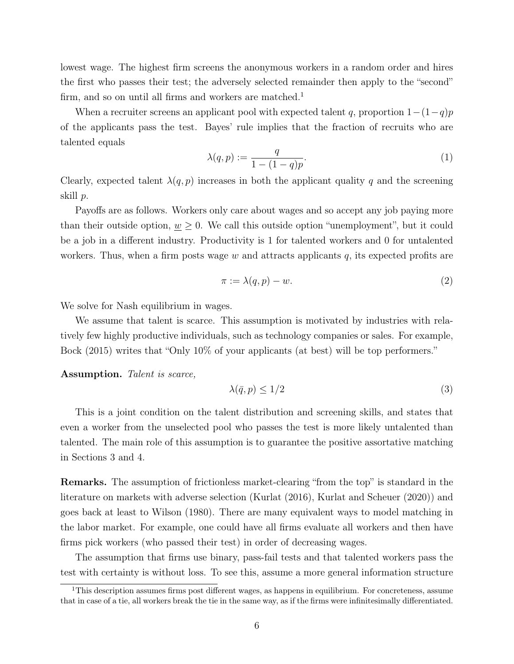lowest wage. The highest firm screens the anonymous workers in a random order and hires the first who passes their test; the adversely selected remainder then apply to the "second" firm, and so on until all firms and workers are matched.<sup>1</sup>

When a recruiter screens an applicant pool with expected talent q, proportion  $1-(1-q)p$ of the applicants pass the test. Bayes' rule implies that the fraction of recruits who are talented equals

$$
\lambda(q,p) := \frac{q}{1 - (1 - q)p}.\tag{1}
$$

Clearly, expected talent  $\lambda(q, p)$  increases in both the applicant quality q and the screening skill p.

Payoffs are as follows. Workers only care about wages and so accept any job paying more than their outside option,  $w \geq 0$ . We call this outside option "unemployment", but it could be a job in a different industry. Productivity is 1 for talented workers and 0 for untalented workers. Thus, when a firm posts wage  $w$  and attracts applicants  $q$ , its expected profits are

$$
\pi := \lambda(q, p) - w. \tag{2}
$$

We solve for Nash equilibrium in wages.

We assume that talent is scarce. This assumption is motivated by industries with relatively few highly productive individuals, such as technology companies or sales. For example, Bock (2015) writes that "Only 10% of your applicants (at best) will be top performers."

Assumption. Talent is scarce,

$$
\lambda(\bar{q}, p) \le 1/2\tag{3}
$$

This is a joint condition on the talent distribution and screening skills, and states that even a worker from the unselected pool who passes the test is more likely untalented than talented. The main role of this assumption is to guarantee the positive assortative matching in Sections 3 and 4.

Remarks. The assumption of frictionless market-clearing "from the top" is standard in the literature on markets with adverse selection (Kurlat (2016), Kurlat and Scheuer (2020)) and goes back at least to Wilson (1980). There are many equivalent ways to model matching in the labor market. For example, one could have all firms evaluate all workers and then have firms pick workers (who passed their test) in order of decreasing wages.

The assumption that firms use binary, pass-fail tests and that talented workers pass the test with certainty is without loss. To see this, assume a more general information structure

<sup>&</sup>lt;sup>1</sup>This description assumes firms post different wages, as happens in equilibrium. For concreteness, assume that in case of a tie, all workers break the tie in the same way, as if the firms were infinitesimally differentiated.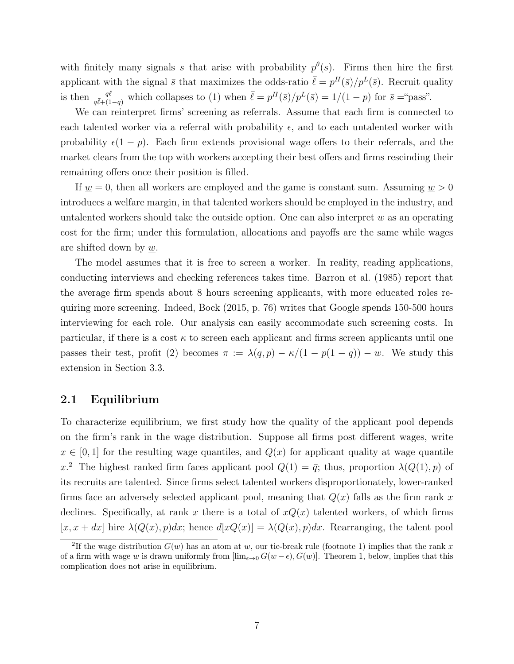with finitely many signals s that arise with probability  $p^{\theta}(s)$ . Firms then hire the first applicant with the signal  $\bar{s}$  that maximizes the odds-ratio  $\bar{\ell} = p^H(\bar{s})/p^L(\bar{s})$ . Recruit quality is then  $\frac{q\bar{\ell}}{q\bar{\ell}+(1-q)}$  which collapses to (1) when  $\bar{\ell} = p^H(\bar{s})/p^L(\bar{s}) = 1/(1-p)$  for  $\bar{s} = \text{``pass''}.$ 

We can reinterpret firms' screening as referrals. Assume that each firm is connected to each talented worker via a referral with probability  $\epsilon$ , and to each untalented worker with probability  $\epsilon(1 - p)$ . Each firm extends provisional wage offers to their referrals, and the market clears from the top with workers accepting their best offers and firms rescinding their remaining offers once their position is filled.

If  $\underline{w} = 0$ , then all workers are employed and the game is constant sum. Assuming  $\underline{w} > 0$ introduces a welfare margin, in that talented workers should be employed in the industry, and untalented workers should take the outside option. One can also interpret  $w$  as an operating cost for the firm; under this formulation, allocations and payoffs are the same while wages are shifted down by  $\underline{w}$ .

The model assumes that it is free to screen a worker. In reality, reading applications, conducting interviews and checking references takes time. Barron et al. (1985) report that the average firm spends about 8 hours screening applicants, with more educated roles requiring more screening. Indeed, Bock (2015, p. 76) writes that Google spends 150-500 hours interviewing for each role. Our analysis can easily accommodate such screening costs. In particular, if there is a cost  $\kappa$  to screen each applicant and firms screen applicants until one passes their test, profit (2) becomes  $\pi := \lambda(q, p) - \kappa/(1 - p(1 - q)) - w$ . We study this extension in Section 3.3.

## 2.1 Equilibrium

To characterize equilibrium, we first study how the quality of the applicant pool depends on the firm's rank in the wage distribution. Suppose all firms post different wages, write  $x \in [0, 1]$  for the resulting wage quantiles, and  $Q(x)$  for applicant quality at wage quantile x.<sup>2</sup> The highest ranked firm faces applicant pool  $Q(1) = \bar{q}$ ; thus, proportion  $\lambda(Q(1), p)$  of its recruits are talented. Since firms select talented workers disproportionately, lower-ranked firms face an adversely selected applicant pool, meaning that  $Q(x)$  falls as the firm rank x declines. Specifically, at rank x there is a total of  $xQ(x)$  talented workers, of which firms  $[x, x + dx]$  hire  $\lambda(Q(x), p)dx$ ; hence  $d[xQ(x)] = \lambda(Q(x), p)dx$ . Rearranging, the talent pool

<sup>&</sup>lt;sup>2</sup>If the wage distribution  $G(w)$  has an atom at w, our tie-break rule (footnote 1) implies that the rank x of a firm with wage w is drawn uniformly from  $[\lim_{\epsilon \to 0} G(w - \epsilon), G(w)]$ . Theorem 1, below, implies that this complication does not arise in equilibrium.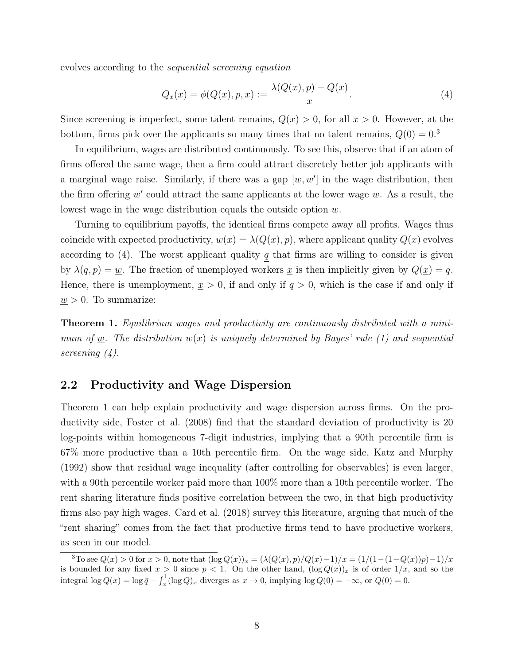evolves according to the sequential screening equation

$$
Q_x(x) = \phi(Q(x), p, x) := \frac{\lambda(Q(x), p) - Q(x)}{x}.
$$
 (4)

Since screening is imperfect, some talent remains,  $Q(x) > 0$ , for all  $x > 0$ . However, at the bottom, firms pick over the applicants so many times that no talent remains,  $Q(0) = 0.3$ 

In equilibrium, wages are distributed continuously. To see this, observe that if an atom of firms offered the same wage, then a firm could attract discretely better job applicants with a marginal wage raise. Similarly, if there was a gap  $[w, w']$  in the wage distribution, then the firm offering  $w'$  could attract the same applicants at the lower wage  $w$ . As a result, the lowest wage in the wage distribution equals the outside option w.

Turning to equilibrium payoffs, the identical firms compete away all profits. Wages thus coincide with expected productivity,  $w(x) = \lambda(Q(x), p)$ , where applicant quality  $Q(x)$  evolves according to  $(4)$ . The worst applicant quality q that firms are willing to consider is given by  $\lambda(q, p) = \underline{w}$ . The fraction of unemployed workers <u>x</u> is then implicitly given by  $Q(\underline{x}) = q$ . Hence, there is unemployment,  $x > 0$ , if and only if  $q > 0$ , which is the case if and only if  $\underline{w} > 0$ . To summarize:

**Theorem 1.** Equilibrium wages and productivity are continuously distributed with a minimum of w. The distribution  $w(x)$  is uniquely determined by Bayes' rule (1) and sequential screening  $(4)$ .

### 2.2 Productivity and Wage Dispersion

Theorem 1 can help explain productivity and wage dispersion across firms. On the productivity side, Foster et al. (2008) find that the standard deviation of productivity is 20 log-points within homogeneous 7-digit industries, implying that a 90th percentile firm is 67% more productive than a 10th percentile firm. On the wage side, Katz and Murphy (1992) show that residual wage inequality (after controlling for observables) is even larger, with a 90th percentile worker paid more than 100% more than a 10th percentile worker. The rent sharing literature finds positive correlation between the two, in that high productivity firms also pay high wages. Card et al. (2018) survey this literature, arguing that much of the "rent sharing" comes from the fact that productive firms tend to have productive workers, as seen in our model.

<sup>3</sup>To see  $Q(x) > 0$  for  $x > 0$ , note that  $(\log Q(x))_x = (\lambda(Q(x), p)/Q(x)-1)/x = (1/(1-(1-Q(x))p)-1)/x$ is bounded for any fixed  $x > 0$  since  $p < 1$ . On the other hand,  $(\log Q(x))_x$  is of order  $1/x$ , and so the integral  $\log Q(x) = \log \bar{q} - \int_x^1 (\log Q)_x$  diverges as  $x \to 0$ , implying  $\log Q(0) = -\infty$ , or  $Q(0) = 0$ .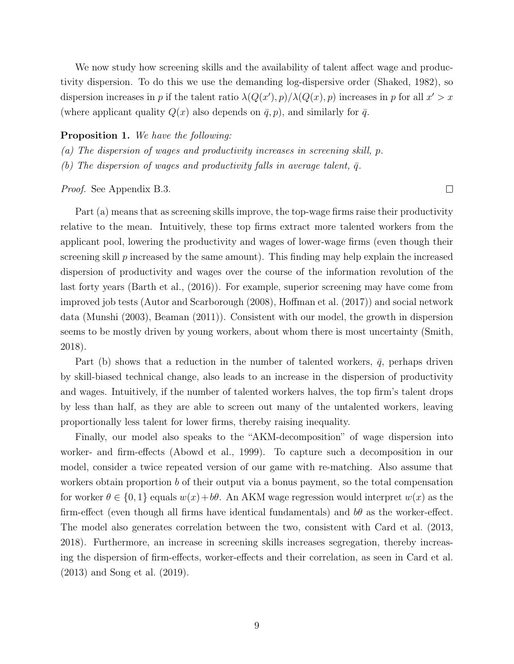We now study how screening skills and the availability of talent affect wage and productivity dispersion. To do this we use the demanding log-dispersive order (Shaked, 1982), so dispersion increases in p if the talent ratio  $\lambda(Q(x'),p)/\lambda(Q(x),p)$  increases in p for all  $x'>x$ (where applicant quality  $Q(x)$  also depends on  $\bar{q}$ , p), and similarly for  $\bar{q}$ .

### Proposition 1. We have the following:

(a) The dispersion of wages and productivity increases in screening skill, p.

(b) The dispersion of wages and productivity falls in average talent,  $\bar{q}$ .

Proof. See Appendix B.3.

Part (a) means that as screening skills improve, the top-wage firms raise their productivity relative to the mean. Intuitively, these top firms extract more talented workers from the applicant pool, lowering the productivity and wages of lower-wage firms (even though their screening skill  $p$  increased by the same amount). This finding may help explain the increased dispersion of productivity and wages over the course of the information revolution of the last forty years (Barth et al., (2016)). For example, superior screening may have come from improved job tests (Autor and Scarborough (2008), Hoffman et al. (2017)) and social network data (Munshi (2003), Beaman (2011)). Consistent with our model, the growth in dispersion seems to be mostly driven by young workers, about whom there is most uncertainty (Smith, 2018).

Part (b) shows that a reduction in the number of talented workers,  $\bar{q}$ , perhaps driven by skill-biased technical change, also leads to an increase in the dispersion of productivity and wages. Intuitively, if the number of talented workers halves, the top firm's talent drops by less than half, as they are able to screen out many of the untalented workers, leaving proportionally less talent for lower firms, thereby raising inequality.

Finally, our model also speaks to the "AKM-decomposition" of wage dispersion into worker- and firm-effects (Abowd et al., 1999). To capture such a decomposition in our model, consider a twice repeated version of our game with re-matching. Also assume that workers obtain proportion  $b$  of their output via a bonus payment, so the total compensation for worker  $\theta \in \{0,1\}$  equals  $w(x)+b\theta$ . An AKM wage regression would interpret  $w(x)$  as the firm-effect (even though all firms have identical fundamentals) and  $b\theta$  as the worker-effect. The model also generates correlation between the two, consistent with Card et al. (2013, 2018). Furthermore, an increase in screening skills increases segregation, thereby increasing the dispersion of firm-effects, worker-effects and their correlation, as seen in Card et al. (2013) and Song et al. (2019).

 $\Box$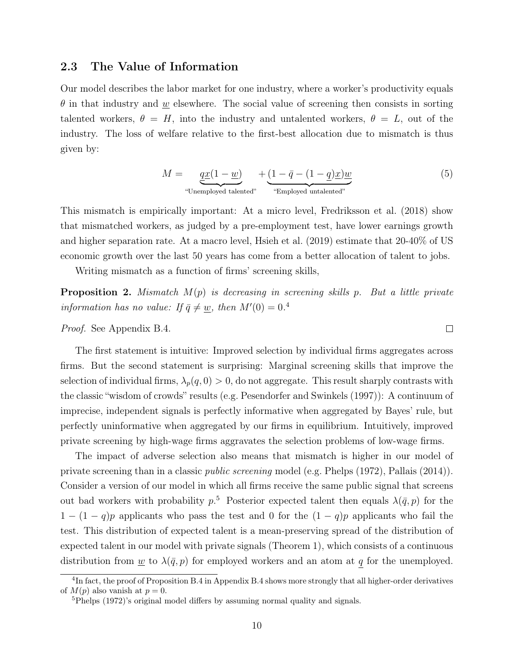### 2.3 The Value of Information

Our model describes the labor market for one industry, where a worker's productivity equals  $\theta$  in that industry and w elsewhere. The social value of screening then consists in sorting talented workers,  $\theta = H$ , into the industry and untalented workers,  $\theta = L$ , out of the industry. The loss of welfare relative to the first-best allocation due to mismatch is thus given by:

$$
M = \underbrace{q\underline{x}(1-\underline{w})}_{\text{"Unemployed talented"}} + \underbrace{(1-\bar{q}-(1-\underline{q})\underline{x})\underline{w}}_{\text{"Employee untalented"}} \tag{5}
$$

 $\Box$ 

This mismatch is empirically important: At a micro level, Fredriksson et al. (2018) show that mismatched workers, as judged by a pre-employment test, have lower earnings growth and higher separation rate. At a macro level, Hsieh et al. (2019) estimate that 20-40% of US economic growth over the last 50 years has come from a better allocation of talent to jobs.

Writing mismatch as a function of firms' screening skills,

**Proposition 2.** Mismatch  $M(p)$  is decreasing in screening skills p. But a little private information has no value: If  $\bar{q} \neq \underline{w}$ , then  $M'(0) = 0.4$ 

Proof. See Appendix B.4.

The first statement is intuitive: Improved selection by individual firms aggregates across firms. But the second statement is surprising: Marginal screening skills that improve the selection of individual firms,  $\lambda_p(q, 0) > 0$ , do not aggregate. This result sharply contrasts with the classic "wisdom of crowds" results (e.g. Pesendorfer and Swinkels (1997)): A continuum of imprecise, independent signals is perfectly informative when aggregated by Bayes' rule, but perfectly uninformative when aggregated by our firms in equilibrium. Intuitively, improved private screening by high-wage firms aggravates the selection problems of low-wage firms.

The impact of adverse selection also means that mismatch is higher in our model of private screening than in a classic public screening model (e.g. Phelps (1972), Pallais (2014)). Consider a version of our model in which all firms receive the same public signal that screens out bad workers with probability  $p<sup>5</sup>$ . Posterior expected talent then equals  $\lambda(\bar{q}, p)$  for the  $1 - (1 - q)p$  applicants who pass the test and 0 for the  $(1 - q)p$  applicants who fail the test. This distribution of expected talent is a mean-preserving spread of the distribution of expected talent in our model with private signals (Theorem 1), which consists of a continuous distribution from  $\underline{w}$  to  $\lambda(\overline{q}, p)$  for employed workers and an atom at q for the unemployed.

<sup>&</sup>lt;sup>4</sup>In fact, the proof of Proposition B.4 in Appendix B.4 shows more strongly that all higher-order derivatives of  $M(p)$  also vanish at  $p = 0$ .

<sup>5</sup>Phelps (1972)'s original model differs by assuming normal quality and signals.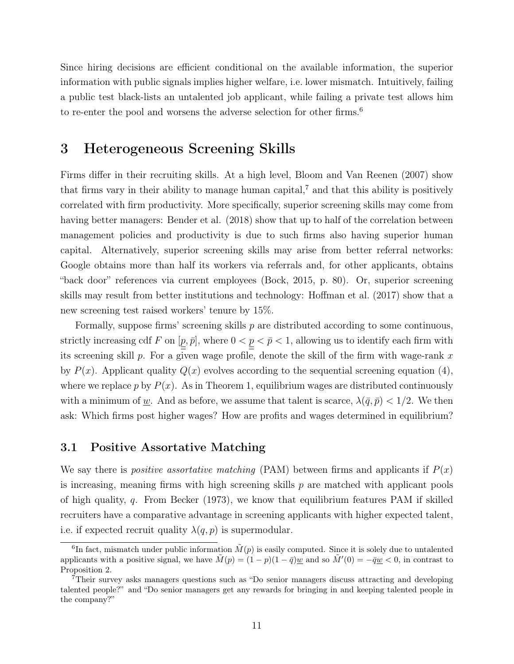Since hiring decisions are efficient conditional on the available information, the superior information with public signals implies higher welfare, i.e. lower mismatch. Intuitively, failing a public test black-lists an untalented job applicant, while failing a private test allows him to re-enter the pool and worsens the adverse selection for other firms.<sup>6</sup>

# 3 Heterogeneous Screening Skills

Firms differ in their recruiting skills. At a high level, Bloom and Van Reenen (2007) show that firms vary in their ability to manage human capital,<sup>7</sup> and that this ability is positively correlated with firm productivity. More specifically, superior screening skills may come from having better managers: Bender et al. (2018) show that up to half of the correlation between management policies and productivity is due to such firms also having superior human capital. Alternatively, superior screening skills may arise from better referral networks: Google obtains more than half its workers via referrals and, for other applicants, obtains "back door" references via current employees (Bock, 2015, p. 80). Or, superior screening skills may result from better institutions and technology: Hoffman et al. (2017) show that a new screening test raised workers' tenure by 15%.

Formally, suppose firms' screening skills  $p$  are distributed according to some continuous, strictly increasing cdf F on  $[p, \bar{p}]$ , where  $0 < p \leq \bar{p} < 1$ , allowing us to identify each firm with its screening skill p. For a given wage profile, denote the skill of the firm with wage-rank  $x$ by  $P(x)$ . Applicant quality  $Q(x)$  evolves according to the sequential screening equation (4), where we replace p by  $P(x)$ . As in Theorem 1, equilibrium wages are distributed continuously with a minimum of <u>w</u>. And as before, we assume that talent is scarce,  $\lambda(\bar{q}, \bar{p}) < 1/2$ . We then ask: Which firms post higher wages? How are profits and wages determined in equilibrium?

## 3.1 Positive Assortative Matching

We say there is *positive assortative matching* (PAM) between firms and applicants if  $P(x)$ is increasing, meaning firms with high screening skills  $p$  are matched with applicant pools of high quality,  $q$ . From Becker (1973), we know that equilibrium features PAM if skilled recruiters have a comparative advantage in screening applicants with higher expected talent, i.e. if expected recruit quality  $\lambda(q, p)$  is supermodular.

<sup>&</sup>lt;sup>6</sup>In fact, mismatch under public information  $\tilde{M}(p)$  is easily computed. Since it is solely due to untalented applicants with a positive signal, we have  $\tilde{M}(p) = (1-p)(1-\bar{q})\underline{w}$  and so  $\tilde{M}'(0) = -\bar{q}\underline{w} < 0$ , in contrast to Proposition 2.

<sup>7</sup>Their survey asks managers questions such as "Do senior managers discuss attracting and developing talented people?" and "Do senior managers get any rewards for bringing in and keeping talented people in the company?"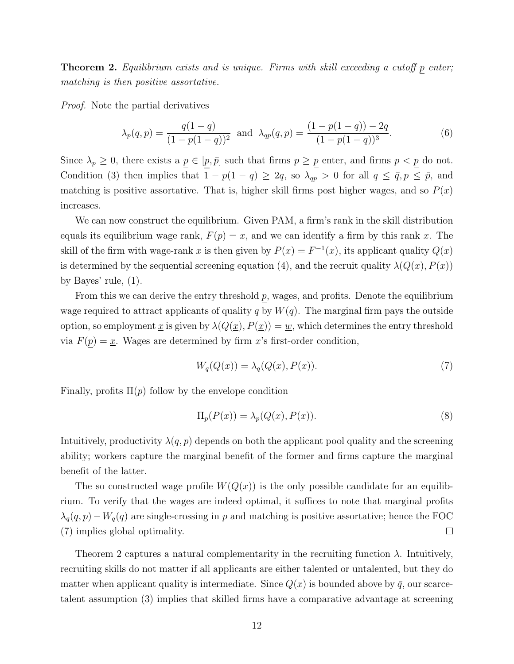Theorem 2. Equilibrium exists and is unique. Firms with skill exceeding a cutoff p enter; matching is then positive assortative.

Proof. Note the partial derivatives

$$
\lambda_p(q,p) = \frac{q(1-q)}{(1-p(1-q))^2} \text{ and } \lambda_{qp}(q,p) = \frac{(1-p(1-q))-2q}{(1-p(1-q))^3}.
$$
 (6)

Since  $\lambda_p \geq 0$ , there exists a  $p \in [p, \bar{p}]$  such that firms  $p \geq p$  enter, and firms  $p < p$  do not. Condition (3) then implies that  $1 - p(1 - q) \ge 2q$ , so  $\lambda_{qp} > 0$  for all  $q \le \bar{q}, p \le \bar{p}$ , and matching is positive assortative. That is, higher skill firms post higher wages, and so  $P(x)$ increases.

We can now construct the equilibrium. Given PAM, a firm's rank in the skill distribution equals its equilibrium wage rank,  $F(p) = x$ , and we can identify a firm by this rank x. The skill of the firm with wage-rank x is then given by  $P(x) = F^{-1}(x)$ , its applicant quality  $Q(x)$ is determined by the sequential screening equation (4), and the recruit quality  $\lambda(Q(x), P(x))$ by Bayes' rule, (1).

From this we can derive the entry threshold  $p$ , wages, and profits. Denote the equilibrium wage required to attract applicants of quality q by  $W(q)$ . The marginal firm pays the outside option, so employment  $\underline{x}$  is given by  $\lambda(Q(\underline{x}), P(\underline{x})) = \underline{w}$ , which determines the entry threshold via  $F(p) = \underline{x}$ . Wages are determined by firm x's first-order condition,

$$
W_q(Q(x)) = \lambda_q(Q(x), P(x)).
$$
\n(7)

Finally, profits  $\Pi(p)$  follow by the envelope condition

$$
\Pi_p(P(x)) = \lambda_p(Q(x), P(x)).\tag{8}
$$

Intuitively, productivity  $\lambda(q, p)$  depends on both the applicant pool quality and the screening ability; workers capture the marginal benefit of the former and firms capture the marginal benefit of the latter.

The so constructed wage profile  $W(Q(x))$  is the only possible candidate for an equilibrium. To verify that the wages are indeed optimal, it suffices to note that marginal profits  $\lambda_q(q, p) - W_q(q)$  are single-crossing in p and matching is positive assortative; hence the FOC (7) implies global optimality.  $\Box$ 

Theorem 2 captures a natural complementarity in the recruiting function  $\lambda$ . Intuitively, recruiting skills do not matter if all applicants are either talented or untalented, but they do matter when applicant quality is intermediate. Since  $Q(x)$  is bounded above by  $\bar{q}$ , our scarcetalent assumption (3) implies that skilled firms have a comparative advantage at screening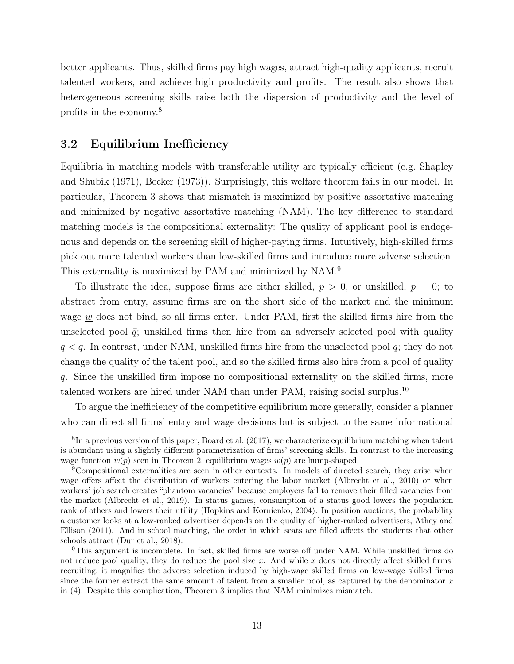better applicants. Thus, skilled firms pay high wages, attract high-quality applicants, recruit talented workers, and achieve high productivity and profits. The result also shows that heterogeneous screening skills raise both the dispersion of productivity and the level of profits in the economy.<sup>8</sup>

# 3.2 Equilibrium Inefficiency

Equilibria in matching models with transferable utility are typically efficient (e.g. Shapley and Shubik (1971), Becker (1973)). Surprisingly, this welfare theorem fails in our model. In particular, Theorem 3 shows that mismatch is maximized by positive assortative matching and minimized by negative assortative matching (NAM). The key difference to standard matching models is the compositional externality: The quality of applicant pool is endogenous and depends on the screening skill of higher-paying firms. Intuitively, high-skilled firms pick out more talented workers than low-skilled firms and introduce more adverse selection. This externality is maximized by PAM and minimized by NAM.<sup>9</sup>

To illustrate the idea, suppose firms are either skilled,  $p > 0$ , or unskilled,  $p = 0$ ; to abstract from entry, assume firms are on the short side of the market and the minimum wage  $\underline{w}$  does not bind, so all firms enter. Under PAM, first the skilled firms hire from the unselected pool  $\bar{q}$ ; unskilled firms then hire from an adversely selected pool with quality  $q < \bar{q}$ . In contrast, under NAM, unskilled firms hire from the unselected pool  $\bar{q}$ ; they do not change the quality of the talent pool, and so the skilled firms also hire from a pool of quality  $\bar{q}$ . Since the unskilled firm impose no compositional externality on the skilled firms, more talented workers are hired under NAM than under PAM, raising social surplus.<sup>10</sup>

To argue the inefficiency of the competitive equilibrium more generally, consider a planner who can direct all firms' entry and wage decisions but is subject to the same informational

<sup>&</sup>lt;sup>8</sup>In a previous version of this paper, Board et al. (2017), we characterize equilibrium matching when talent is abundant using a slightly different parametrization of firms' screening skills. In contrast to the increasing wage function  $w(p)$  seen in Theorem 2, equilibrium wages  $w(p)$  are hump-shaped.

<sup>9</sup>Compositional externalities are seen in other contexts. In models of directed search, they arise when wage offers affect the distribution of workers entering the labor market (Albrecht et al., 2010) or when workers' job search creates "phantom vacancies" because employers fail to remove their filled vacancies from the market (Albrecht et al., 2019). In status games, consumption of a status good lowers the population rank of others and lowers their utility (Hopkins and Kornienko, 2004). In position auctions, the probability a customer looks at a low-ranked advertiser depends on the quality of higher-ranked advertisers, Athey and Ellison (2011). And in school matching, the order in which seats are filled affects the students that other schools attract (Dur et al., 2018).

<sup>&</sup>lt;sup>10</sup>This argument is incomplete. In fact, skilled firms are worse off under NAM. While unskilled firms do not reduce pool quality, they do reduce the pool size  $x$ . And while  $x$  does not directly affect skilled firms' recruiting, it magnifies the adverse selection induced by high-wage skilled firms on low-wage skilled firms since the former extract the same amount of talent from a smaller pool, as captured by the denominator  $x$ in (4). Despite this complication, Theorem 3 implies that NAM minimizes mismatch.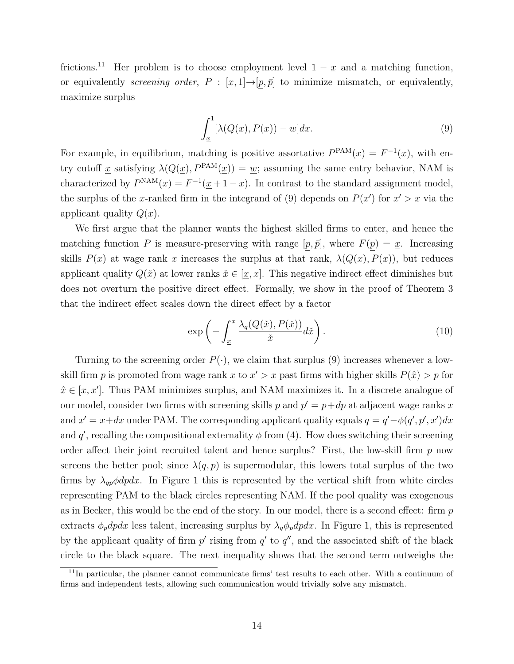frictions.<sup>11</sup> Her problem is to choose employment level  $1 - \underline{x}$  and a matching function, or equivalently *screening order*,  $P : [\underline{x}, 1] \rightarrow [\underline{\underline{p}}, \overline{p}]$  to minimize mismatch, or equivalently, maximize surplus

$$
\int_{\underline{x}}^{1} [\lambda(Q(x), P(x)) - \underline{w}] dx.
$$
\n(9)

For example, in equilibrium, matching is positive assortative  $P^{PAM}(x) = F^{-1}(x)$ , with entry cutoff x satisfying  $\lambda(Q(\underline{x}), P^{PAM}(\underline{x})) = \underline{w}$ ; assuming the same entry behavior, NAM is characterized by  $P^{\text{NAM}}(x) = F^{-1}(\underline{x} + 1 - x)$ . In contrast to the standard assignment model, the surplus of the x-ranked firm in the integrand of (9) depends on  $P(x')$  for  $x' > x$  via the applicant quality  $Q(x)$ .

We first argue that the planner wants the highest skilled firms to enter, and hence the matching function P is measure-preserving with range  $[p, \bar{p}]$ , where  $F(p) = \underline{x}$ . Increasing skills  $P(x)$  at wage rank x increases the surplus at that rank,  $\lambda(Q(x), P(x))$ , but reduces applicant quality  $Q(\check{x})$  at lower ranks  $\check{x} \in [x, x]$ . This negative indirect effect diminishes but does not overturn the positive direct effect. Formally, we show in the proof of Theorem 3 that the indirect effect scales down the direct effect by a factor

$$
\exp\left(-\int_{\underline{x}}^{x} \frac{\lambda_{q}(Q(\check{x}), P(\check{x}))}{\check{x}} d\check{x}\right). \tag{10}
$$

Turning to the screening order  $P(\cdot)$ , we claim that surplus (9) increases whenever a lowskill firm p is promoted from wage rank x to  $x' > x$  past firms with higher skills  $P(\hat{x}) > p$  for  $\hat{x} \in [x, x']$ . Thus PAM minimizes surplus, and NAM maximizes it. In a discrete analogue of our model, consider two firms with screening skills p and  $p' = p + dp$  at adjacent wage ranks x and  $x' = x + dx$  under PAM. The corresponding applicant quality equals  $q = q' - \phi(q', p', x')dx$ and q', recalling the compositional externality  $\phi$  from (4). How does switching their screening order affect their joint recruited talent and hence surplus? First, the low-skill firm  $p$  now screens the better pool; since  $\lambda(q, p)$  is supermodular, this lowers total surplus of the two firms by  $\lambda_{ap} \phi dp dx$ . In Figure 1 this is represented by the vertical shift from white circles representing PAM to the black circles representing NAM. If the pool quality was exogenous as in Becker, this would be the end of the story. In our model, there is a second effect: firm  $p$ extracts  $\phi_p dp dx$  less talent, increasing surplus by  $\lambda_q \phi_p dp dx$ . In Figure 1, this is represented by the applicant quality of firm  $p'$  rising from  $q'$  to  $q''$ , and the associated shift of the black circle to the black square. The next inequality shows that the second term outweighs the

<sup>&</sup>lt;sup>11</sup>In particular, the planner cannot communicate firms' test results to each other. With a continuum of firms and independent tests, allowing such communication would trivially solve any mismatch.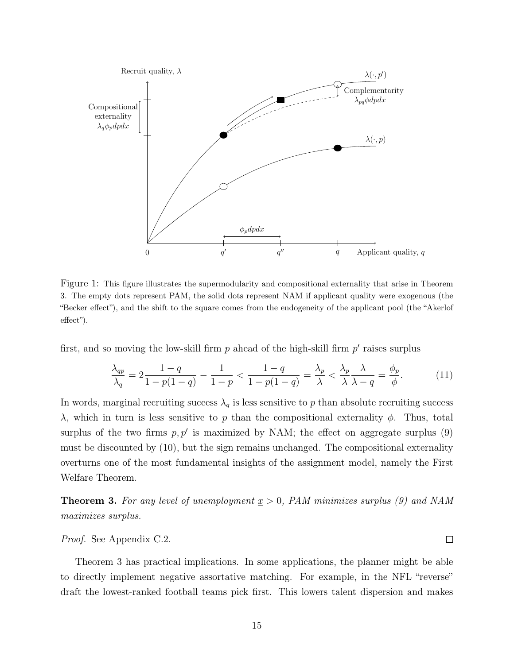

Figure 1: This figure illustrates the supermodularity and compositional externality that arise in Theorem 3. The empty dots represent PAM, the solid dots represent NAM if applicant quality were exogenous (the "Becker effect"), and the shift to the square comes from the endogeneity of the applicant pool (the "Akerlof effect").

first, and so moving the low-skill firm  $p$  ahead of the high-skill firm  $p'$  raises surplus

$$
\frac{\lambda_{qp}}{\lambda_q} = 2 \frac{1-q}{1-p(1-q)} - \frac{1}{1-p} < \frac{1-q}{1-p(1-q)} = \frac{\lambda_p}{\lambda} < \frac{\lambda_p}{\lambda} \frac{\lambda}{\lambda-q} = \frac{\phi_p}{\phi}.\tag{11}
$$

 $\lambda$ , which in turn is less sensitive to p than the compositional externality  $\phi$ . Thus, total In words, marginal recruiting success  $\lambda_q$  is less sensitive to p than absolute recruiting success surplus of the two firms  $p, p'$  is maximized by NAM; the effect on aggregate surplus (9) must be discounted by (10), but the sign remains unchanged. The compositional externality overturns one of the most fundamental insights of the assignment model, namely the First Welfare Theorem.

**Theorem 3.** For any level of unemployment  $\underline{x} > 0$ , PAM minimizes surplus (9) and NAM maximizes surplus.

 $\Box$ 

Proof. See Appendix C.2.

Theorem 3 has practical implications. In some applications, the planner might be able to directly implement negative assortative matching. For example, in the NFL "reverse" draft the lowest-ranked football teams pick first. This lowers talent dispersion and makes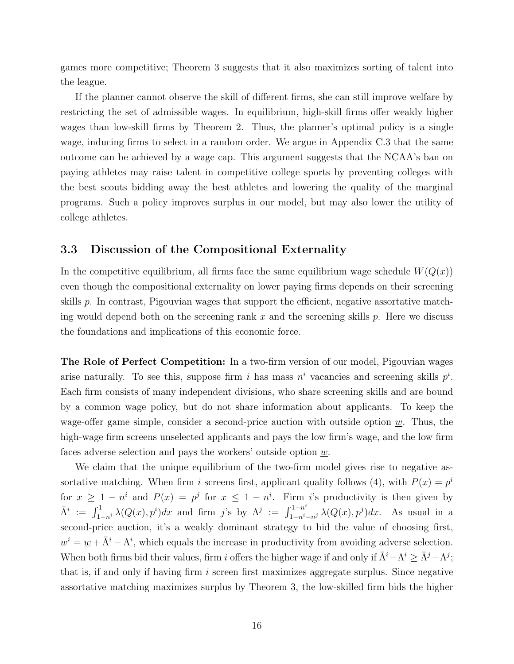games more competitive; Theorem 3 suggests that it also maximizes sorting of talent into the league.

If the planner cannot observe the skill of different firms, she can still improve welfare by restricting the set of admissible wages. In equilibrium, high-skill firms offer weakly higher wages than low-skill firms by Theorem 2. Thus, the planner's optimal policy is a single wage, inducing firms to select in a random order. We argue in Appendix C.3 that the same outcome can be achieved by a wage cap. This argument suggests that the NCAA's ban on paying athletes may raise talent in competitive college sports by preventing colleges with the best scouts bidding away the best athletes and lowering the quality of the marginal programs. Such a policy improves surplus in our model, but may also lower the utility of college athletes.

## 3.3 Discussion of the Compositional Externality

In the competitive equilibrium, all firms face the same equilibrium wage schedule  $W(Q(x))$ even though the compositional externality on lower paying firms depends on their screening skills p. In contrast, Pigouvian wages that support the efficient, negative assortative matching would depend both on the screening rank  $x$  and the screening skills  $p$ . Here we discuss the foundations and implications of this economic force.

The Role of Perfect Competition: In a two-firm version of our model, Pigouvian wages arise naturally. To see this, suppose firm i has mass  $n^i$  vacancies and screening skills  $p^i$ . Each firm consists of many independent divisions, who share screening skills and are bound by a common wage policy, but do not share information about applicants. To keep the wage-offer game simple, consider a second-price auction with outside option  $w$ . Thus, the high-wage firm screens unselected applicants and pays the low firm's wage, and the low firm faces adverse selection and pays the workers' outside option  $w$ .

We claim that the unique equilibrium of the two-firm model gives rise to negative assortative matching. When firm i screens first, applicant quality follows (4), with  $P(x) = p^i$ for  $x \geq 1 - n^i$  and  $P(x) = p^j$  for  $x \leq 1 - n^i$ . Firm is productivity is then given by  $\bar{\Lambda}^i := \int_{1-n^i}^1 \lambda(Q(x), p^i) dx$  and firm j's by  $\Lambda^j := \int_{1-n^i-n^j}^{1-n^i} \lambda(Q(x), p^j) dx$ . As usual in a second-price auction, it's a weakly dominant strategy to bid the value of choosing first,  $w^i = \underline{w} + \overline{\Lambda}^i - \Lambda^i$ , which equals the increase in productivity from avoiding adverse selection. When both firms bid their values, firm *i* offers the higher wage if and only if  $\bar{\Lambda}^i - \Lambda^i \ge \bar{\Lambda}^j - \Lambda^j$ ; that is, if and only if having firm  $i$  screen first maximizes aggregate surplus. Since negative assortative matching maximizes surplus by Theorem 3, the low-skilled firm bids the higher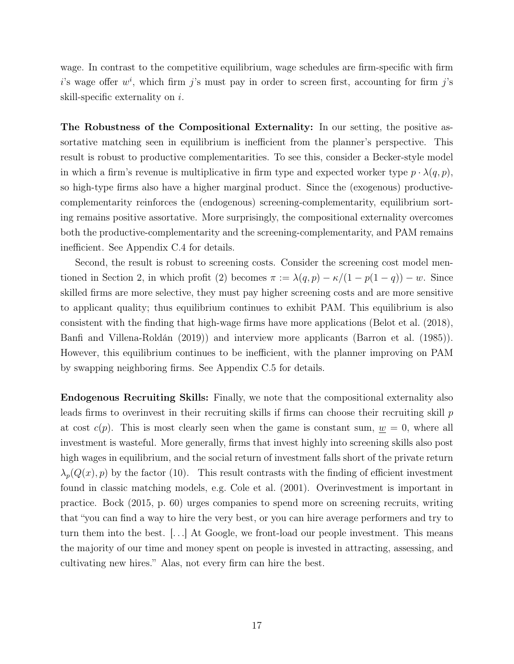wage. In contrast to the competitive equilibrium, wage schedules are firm-specific with firm i's wage offer  $w^i$ , which firm j's must pay in order to screen first, accounting for firm j's skill-specific externality on i.

The Robustness of the Compositional Externality: In our setting, the positive assortative matching seen in equilibrium is inefficient from the planner's perspective. This result is robust to productive complementarities. To see this, consider a Becker-style model in which a firm's revenue is multiplicative in firm type and expected worker type  $p \cdot \lambda(q, p)$ , so high-type firms also have a higher marginal product. Since the (exogenous) productivecomplementarity reinforces the (endogenous) screening-complementarity, equilibrium sorting remains positive assortative. More surprisingly, the compositional externality overcomes both the productive-complementarity and the screening-complementarity, and PAM remains inefficient. See Appendix C.4 for details.

Second, the result is robust to screening costs. Consider the screening cost model mentioned in Section 2, in which profit (2) becomes  $\pi := \lambda(q, p) - \kappa/(1 - p(1 - q)) - w$ . Since skilled firms are more selective, they must pay higher screening costs and are more sensitive to applicant quality; thus equilibrium continues to exhibit PAM. This equilibrium is also consistent with the finding that high-wage firms have more applications (Belot et al. (2018), Banfi and Villena-Roldán (2019)) and interview more applicants (Barron et al. (1985)). However, this equilibrium continues to be inefficient, with the planner improving on PAM by swapping neighboring firms. See Appendix C.5 for details.

Endogenous Recruiting Skills: Finally, we note that the compositional externality also leads firms to overinvest in their recruiting skills if firms can choose their recruiting skill  $p$ at cost  $c(p)$ . This is most clearly seen when the game is constant sum,  $\underline{w} = 0$ , where all investment is wasteful. More generally, firms that invest highly into screening skills also post high wages in equilibrium, and the social return of investment falls short of the private return  $\lambda_p(Q(x), p)$  by the factor (10). This result contrasts with the finding of efficient investment found in classic matching models, e.g. Cole et al. (2001). Overinvestment is important in practice. Bock (2015, p. 60) urges companies to spend more on screening recruits, writing that "you can find a way to hire the very best, or you can hire average performers and try to turn them into the best. [. . .] At Google, we front-load our people investment. This means the majority of our time and money spent on people is invested in attracting, assessing, and cultivating new hires." Alas, not every firm can hire the best.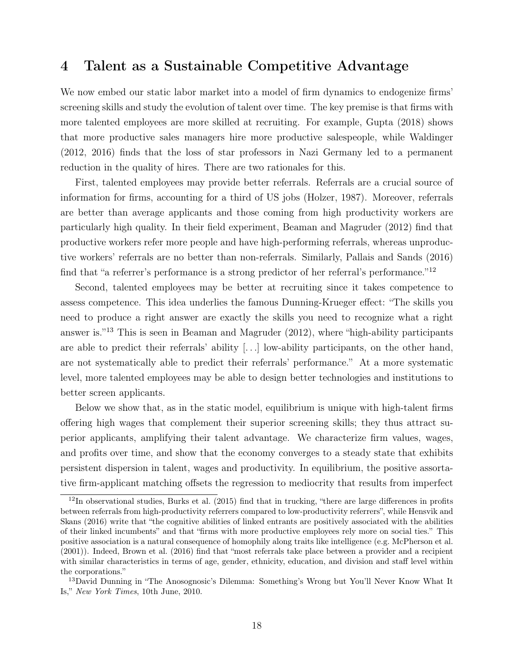# 4 Talent as a Sustainable Competitive Advantage

We now embed our static labor market into a model of firm dynamics to endogenize firms' screening skills and study the evolution of talent over time. The key premise is that firms with more talented employees are more skilled at recruiting. For example, Gupta (2018) shows that more productive sales managers hire more productive salespeople, while Waldinger (2012, 2016) finds that the loss of star professors in Nazi Germany led to a permanent reduction in the quality of hires. There are two rationales for this.

First, talented employees may provide better referrals. Referrals are a crucial source of information for firms, accounting for a third of US jobs (Holzer, 1987). Moreover, referrals are better than average applicants and those coming from high productivity workers are particularly high quality. In their field experiment, Beaman and Magruder (2012) find that productive workers refer more people and have high-performing referrals, whereas unproductive workers' referrals are no better than non-referrals. Similarly, Pallais and Sands (2016) find that "a referrer's performance is a strong predictor of her referral's performance."<sup>12</sup>

Second, talented employees may be better at recruiting since it takes competence to assess competence. This idea underlies the famous Dunning-Krueger effect: "The skills you need to produce a right answer are exactly the skills you need to recognize what a right answer is."<sup>13</sup> This is seen in Beaman and Magruder (2012), where "high-ability participants are able to predict their referrals' ability [. . .] low-ability participants, on the other hand, are not systematically able to predict their referrals' performance." At a more systematic level, more talented employees may be able to design better technologies and institutions to better screen applicants.

Below we show that, as in the static model, equilibrium is unique with high-talent firms offering high wages that complement their superior screening skills; they thus attract superior applicants, amplifying their talent advantage. We characterize firm values, wages, and profits over time, and show that the economy converges to a steady state that exhibits persistent dispersion in talent, wages and productivity. In equilibrium, the positive assortative firm-applicant matching offsets the regression to mediocrity that results from imperfect

<sup>&</sup>lt;sup>12</sup>In observational studies, Burks et al. (2015) find that in trucking, "there are large differences in profits between referrals from high-productivity referrers compared to low-productivity referrers", while Hensvik and Skans (2016) write that "the cognitive abilities of linked entrants are positively associated with the abilities of their linked incumbents" and that "firms with more productive employees rely more on social ties." This positive association is a natural consequence of homophily along traits like intelligence (e.g. McPherson et al. (2001)). Indeed, Brown et al. (2016) find that "most referrals take place between a provider and a recipient with similar characteristics in terms of age, gender, ethnicity, education, and division and staff level within the corporations."

<sup>13</sup>David Dunning in "The Anosognosic's Dilemma: Something's Wrong but You'll Never Know What It Is," New York Times, 10th June, 2010.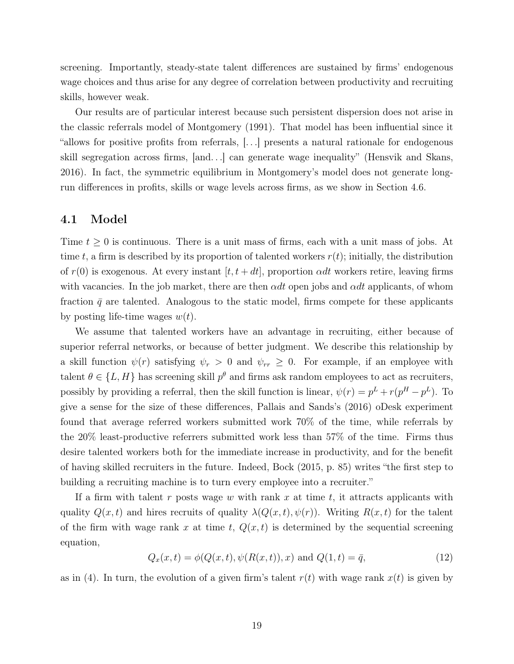screening. Importantly, steady-state talent differences are sustained by firms' endogenous wage choices and thus arise for any degree of correlation between productivity and recruiting skills, however weak.

Our results are of particular interest because such persistent dispersion does not arise in the classic referrals model of Montgomery (1991). That model has been influential since it "allows for positive profits from referrals, [. . .] presents a natural rationale for endogenous skill segregation across firms, [and. . .] can generate wage inequality" (Hensvik and Skans, 2016). In fact, the symmetric equilibrium in Montgomery's model does not generate longrun differences in profits, skills or wage levels across firms, as we show in Section 4.6.

### 4.1 Model

Time  $t \geq 0$  is continuous. There is a unit mass of firms, each with a unit mass of jobs. At time t, a firm is described by its proportion of talented workers  $r(t)$ ; initially, the distribution of  $r(0)$  is exogenous. At every instant  $[t, t + dt]$ , proportion  $\alpha dt$  workers retire, leaving firms with vacancies. In the job market, there are then  $\alpha dt$  open jobs and  $\alpha dt$  applicants, of whom fraction  $\bar{q}$  are talented. Analogous to the static model, firms compete for these applicants by posting life-time wages  $w(t)$ .

We assume that talented workers have an advantage in recruiting, either because of superior referral networks, or because of better judgment. We describe this relationship by a skill function  $\psi(r)$  satisfying  $\psi_r > 0$  and  $\psi_{rr} \geq 0$ . For example, if an employee with talent  $\theta \in \{L, H\}$  has screening skill  $p^{\theta}$  and firms ask random employees to act as recruiters, possibly by providing a referral, then the skill function is linear,  $\psi(r) = p^L + r(p^H - p^L)$ . To give a sense for the size of these differences, Pallais and Sands's (2016) oDesk experiment found that average referred workers submitted work 70% of the time, while referrals by the 20% least-productive referrers submitted work less than 57% of the time. Firms thus desire talented workers both for the immediate increase in productivity, and for the benefit of having skilled recruiters in the future. Indeed, Bock (2015, p. 85) writes "the first step to building a recruiting machine is to turn every employee into a recruiter."

If a firm with talent r posts wage w with rank x at time t, it attracts applicants with quality  $Q(x, t)$  and hires recruits of quality  $\lambda(Q(x, t), \psi(r))$ . Writing  $R(x, t)$  for the talent of the firm with wage rank x at time t,  $Q(x, t)$  is determined by the sequential screening equation,

$$
Q_x(x,t) = \phi(Q(x,t), \psi(R(x,t)), x) \text{ and } Q(1,t) = \bar{q}, \qquad (12)
$$

as in (4). In turn, the evolution of a given firm's talent  $r(t)$  with wage rank  $x(t)$  is given by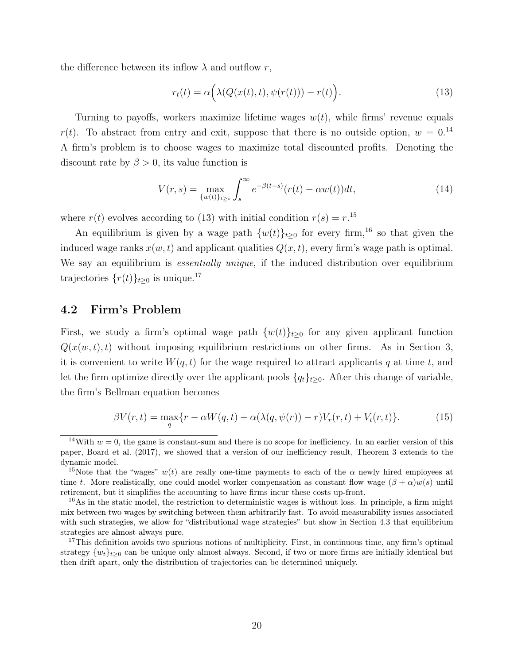the difference between its inflow  $\lambda$  and outflow r,

$$
r_t(t) = \alpha\Big(\lambda(Q(x(t), t), \psi(r(t))) - r(t)\Big). \tag{13}
$$

Turning to payoffs, workers maximize lifetime wages  $w(t)$ , while firms' revenue equals  $r(t)$ . To abstract from entry and exit, suppose that there is no outside option,  $w = 0$ .<sup>14</sup> A firm's problem is to choose wages to maximize total discounted profits. Denoting the discount rate by  $\beta > 0$ , its value function is

$$
V(r,s) = \max_{\{w(t)\}_{t\geq s}} \int_s^{\infty} e^{-\beta(t-s)} (r(t) - \alpha w(t)) dt,
$$
\n(14)

where  $r(t)$  evolves according to (13) with initial condition  $r(s) = r^{15}$ 

An equilibrium is given by a wage path  $\{w(t)\}_{t\geq0}$  for every firm,<sup>16</sup> so that given the induced wage ranks  $x(w, t)$  and applicant qualities  $Q(x, t)$ , every firm's wage path is optimal. We say an equilibrium is *essentially unique*, if the induced distribution over equilibrium trajectories  $\{r(t)\}_{t\geq 0}$  is unique.<sup>17</sup>

# 4.2 Firm's Problem

First, we study a firm's optimal wage path  $\{w(t)\}_{t\geq0}$  for any given applicant function  $Q(x(w, t), t)$  without imposing equilibrium restrictions on other firms. As in Section 3, it is convenient to write  $W(q, t)$  for the wage required to attract applicants q at time t, and let the firm optimize directly over the applicant pools  $\{q_t\}_{t>0}$ . After this change of variable, the firm's Bellman equation becomes

$$
\beta V(r,t) = \max_{q} \{r - \alpha W(q,t) + \alpha(\lambda(q,\psi(r)) - r)V_r(r,t) + V_t(r,t)\}.
$$
 (15)

<sup>&</sup>lt;sup>14</sup>With  $w = 0$ , the game is constant-sum and there is no scope for inefficiency. In an earlier version of this paper, Board et al. (2017), we showed that a version of our inefficiency result, Theorem 3 extends to the dynamic model.

<sup>&</sup>lt;sup>15</sup>Note that the "wages"  $w(t)$  are really one-time payments to each of the  $\alpha$  newly hired employees at time t. More realistically, one could model worker compensation as constant flow wage  $(\beta + \alpha)w(s)$  until retirement, but it simplifies the accounting to have firms incur these costs up-front.

<sup>&</sup>lt;sup>16</sup>As in the static model, the restriction to deterministic wages is without loss. In principle, a firm might mix between two wages by switching between them arbitrarily fast. To avoid measurability issues associated with such strategies, we allow for "distributional wage strategies" but show in Section 4.3 that equilibrium strategies are almost always pure.

<sup>&</sup>lt;sup>17</sup>This definition avoids two spurious notions of multiplicity. First, in continuous time, any firm's optimal strategy  $\{w_t\}_{t>0}$  can be unique only almost always. Second, if two or more firms are initially identical but then drift apart, only the distribution of trajectories can be determined uniquely.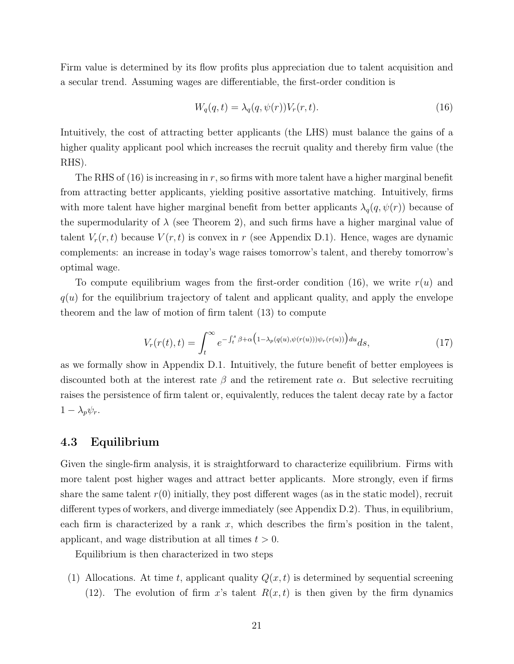Firm value is determined by its flow profits plus appreciation due to talent acquisition and a secular trend. Assuming wages are differentiable, the first-order condition is

$$
W_q(q,t) = \lambda_q(q,\psi(r))V_r(r,t).
$$
\n(16)

Intuitively, the cost of attracting better applicants (the LHS) must balance the gains of a higher quality applicant pool which increases the recruit quality and thereby firm value (the RHS).

The RHS of (16) is increasing in r, so firms with more talent have a higher marginal benefit from attracting better applicants, yielding positive assortative matching. Intuitively, firms with more talent have higher marginal benefit from better applicants  $\lambda_q(q, \psi(r))$  because of the supermodularity of  $\lambda$  (see Theorem 2), and such firms have a higher marginal value of talent  $V_r(r, t)$  because  $V(r, t)$  is convex in r (see Appendix D.1). Hence, wages are dynamic complements: an increase in today's wage raises tomorrow's talent, and thereby tomorrow's optimal wage.

To compute equilibrium wages from the first-order condition (16), we write  $r(u)$  and  $q(u)$  for the equilibrium trajectory of talent and applicant quality, and apply the envelope theorem and the law of motion of firm talent (13) to compute

$$
V_r(r(t),t) = \int_t^{\infty} e^{-\int_t^s \beta + \alpha \left(1 - \lambda_p(q(u), \psi(r(u)))\psi_r(r(u))\right) du} ds,
$$
\n(17)

as we formally show in Appendix D.1. Intuitively, the future benefit of better employees is discounted both at the interest rate  $\beta$  and the retirement rate  $\alpha$ . But selective recruiting raises the persistence of firm talent or, equivalently, reduces the talent decay rate by a factor  $1 - \lambda_p \psi_r$ .

# 4.3 Equilibrium

Given the single-firm analysis, it is straightforward to characterize equilibrium. Firms with more talent post higher wages and attract better applicants. More strongly, even if firms share the same talent  $r(0)$  initially, they post different wages (as in the static model), recruit different types of workers, and diverge immediately (see Appendix D.2). Thus, in equilibrium, each firm is characterized by a rank  $x$ , which describes the firm's position in the talent, applicant, and wage distribution at all times  $t > 0$ .

Equilibrium is then characterized in two steps

(1) Allocations. At time t, applicant quality  $Q(x, t)$  is determined by sequential screening (12). The evolution of firm x's talent  $R(x,t)$  is then given by the firm dynamics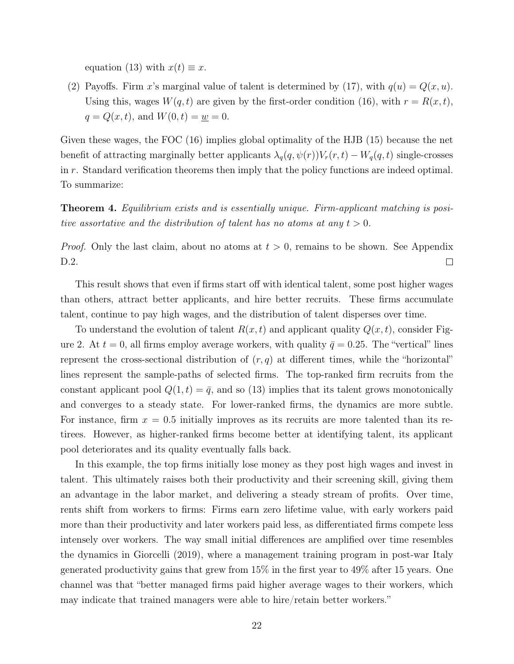equation (13) with  $x(t) \equiv x$ .

(2) Payoffs. Firm x's marginal value of talent is determined by (17), with  $q(u) = Q(x, u)$ . Using this, wages  $W(q, t)$  are given by the first-order condition (16), with  $r = R(x, t)$ ,  $q = Q(x, t)$ , and  $W(0, t) = \underline{w} = 0$ .

Given these wages, the FOC (16) implies global optimality of the HJB (15) because the net benefit of attracting marginally better applicants  $\lambda_q(q, \psi(r))V_r(r, t) - W_q(q, t)$  single-crosses in r. Standard verification theorems then imply that the policy functions are indeed optimal. To summarize:

Theorem 4. Equilibrium exists and is essentially unique. Firm-applicant matching is positive assortative and the distribution of talent has no atoms at any  $t > 0$ .

*Proof.* Only the last claim, about no atoms at  $t > 0$ , remains to be shown. See Appendix D.2.  $\Box$ 

This result shows that even if firms start off with identical talent, some post higher wages than others, attract better applicants, and hire better recruits. These firms accumulate talent, continue to pay high wages, and the distribution of talent disperses over time.

To understand the evolution of talent  $R(x,t)$  and applicant quality  $Q(x,t)$ , consider Figure 2. At  $t = 0$ , all firms employ average workers, with quality  $\bar{q} = 0.25$ . The "vertical" lines represent the cross-sectional distribution of  $(r, q)$  at different times, while the "horizontal" lines represent the sample-paths of selected firms. The top-ranked firm recruits from the constant applicant pool  $Q(1, t) = \bar{q}$ , and so (13) implies that its talent grows monotonically and converges to a steady state. For lower-ranked firms, the dynamics are more subtle. For instance, firm  $x = 0.5$  initially improves as its recruits are more talented than its retirees. However, as higher-ranked firms become better at identifying talent, its applicant pool deteriorates and its quality eventually falls back.

In this example, the top firms initially lose money as they post high wages and invest in talent. This ultimately raises both their productivity and their screening skill, giving them an advantage in the labor market, and delivering a steady stream of profits. Over time, rents shift from workers to firms: Firms earn zero lifetime value, with early workers paid more than their productivity and later workers paid less, as differentiated firms compete less intensely over workers. The way small initial differences are amplified over time resembles the dynamics in Giorcelli (2019), where a management training program in post-war Italy generated productivity gains that grew from 15% in the first year to 49% after 15 years. One channel was that "better managed firms paid higher average wages to their workers, which may indicate that trained managers were able to hire/retain better workers."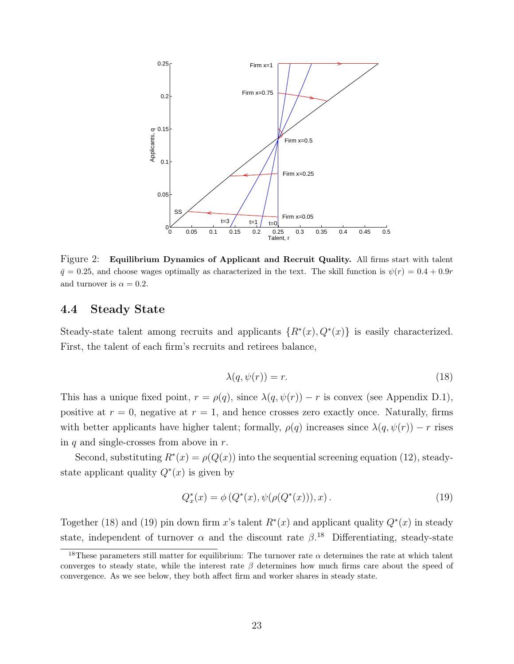

Figure 2: Equilibrium Dynamics of Applicant and Recruit Quality. All firms start with talent  $\bar{q} = 0.25$ , and choose wages optimally as characterized in the text. The skill function is  $\psi(r) = 0.4 + 0.9r$ and turnover is  $\alpha = 0.2$ .

## 4.4 Steady State

Steady-state talent among recruits and applicants  $\{R^*(x), Q^*(x)\}\$ is easily characterized. First, the talent of each firm's recruits and retirees balance,

$$
\lambda(q, \psi(r)) = r. \tag{18}
$$

This has a unique fixed point,  $r = \rho(q)$ , since  $\lambda(q, \psi(r)) - r$  is convex (see Appendix D.1), positive at  $r = 0$ , negative at  $r = 1$ , and hence crosses zero exactly once. Naturally, firms with better applicants have higher talent; formally,  $\rho(q)$  increases since  $\lambda(q, \psi(r)) - r$  rises in q and single-crosses from above in  $r$ .

Second, substituting  $R^*(x) = \rho(Q(x))$  into the sequential screening equation (12), steadystate applicant quality  $Q^*(x)$  is given by

$$
Q_x^*(x) = \phi(Q^*(x), \psi(\rho(Q^*(x))), x). \tag{19}
$$

Together (18) and (19) pin down firm x's talent  $R^*(x)$  and applicant quality  $Q^*(x)$  in steady state, independent of turnover  $\alpha$  and the discount rate  $\beta$ .<sup>18</sup> Differentiating, steady-state

<sup>&</sup>lt;sup>18</sup>These parameters still matter for equilibrium: The turnover rate  $\alpha$  determines the rate at which talent converges to steady state, while the interest rate  $\beta$  determines how much firms care about the speed of convergence. As we see below, they both affect firm and worker shares in steady state.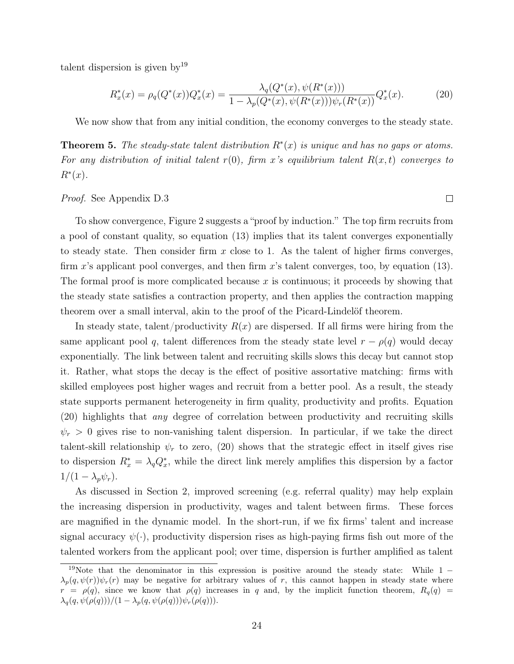talent dispersion is given by  $19$ 

$$
R_x^*(x) = \rho_q(Q^*(x))Q_x^*(x) = \frac{\lambda_q(Q^*(x), \psi(R^*(x)))}{1 - \lambda_p(Q^*(x), \psi(R^*(x)))\psi_r(R^*(x))}Q_x^*(x).
$$
 (20)

We now show that from any initial condition, the economy converges to the steady state.

**Theorem 5.** The steady-state talent distribution  $R^*(x)$  is unique and has no gaps or atoms. For any distribution of initial talent  $r(0)$ , firm x's equilibrium talent  $R(x,t)$  converges to  $R^*(x)$ .

Proof. See Appendix D.3

To show convergence, Figure 2 suggests a "proof by induction." The top firm recruits from a pool of constant quality, so equation (13) implies that its talent converges exponentially to steady state. Then consider firm  $x$  close to 1. As the talent of higher firms converges, firm x's applicant pool converges, and then firm x's talent converges, too, by equation  $(13)$ . The formal proof is more complicated because  $x$  is continuous; it proceeds by showing that the steady state satisfies a contraction property, and then applies the contraction mapping theorem over a small interval, akin to the proof of the Picard-Lindelöf theorem.

In steady state, talent/productivity  $R(x)$  are dispersed. If all firms were hiring from the same applicant pool q, talent differences from the steady state level  $r - \rho(q)$  would decay exponentially. The link between talent and recruiting skills slows this decay but cannot stop it. Rather, what stops the decay is the effect of positive assortative matching: firms with skilled employees post higher wages and recruit from a better pool. As a result, the steady state supports permanent heterogeneity in firm quality, productivity and profits. Equation (20) highlights that any degree of correlation between productivity and recruiting skills  $\psi_r > 0$  gives rise to non-vanishing talent dispersion. In particular, if we take the direct talent-skill relationship  $\psi_r$  to zero, (20) shows that the strategic effect in itself gives rise to dispersion  $R_x^* = \lambda_q Q_x^*$ , while the direct link merely amplifies this dispersion by a factor  $1/(1-\lambda_p\psi_r).$ 

As discussed in Section 2, improved screening (e.g. referral quality) may help explain the increasing dispersion in productivity, wages and talent between firms. These forces are magnified in the dynamic model. In the short-run, if we fix firms' talent and increase signal accuracy  $\psi(\cdot)$ , productivity dispersion rises as high-paying firms fish out more of the talented workers from the applicant pool; over time, dispersion is further amplified as talent

 $\Box$ 

<sup>&</sup>lt;sup>19</sup>Note that the denominator in this expression is positive around the steady state: While 1 −  $\lambda_p(q, \psi(r))\psi_r(r)$  may be negative for arbitrary values of r, this cannot happen in steady state where  $r = \rho(q)$ , since we know that  $\rho(q)$  increases in q and, by the implicit function theorem,  $R_q(q)$  $\lambda_q(q, \psi(\rho(q)))/(1 - \lambda_p(q, \psi(\rho(q)))\psi_r(\rho(q))).$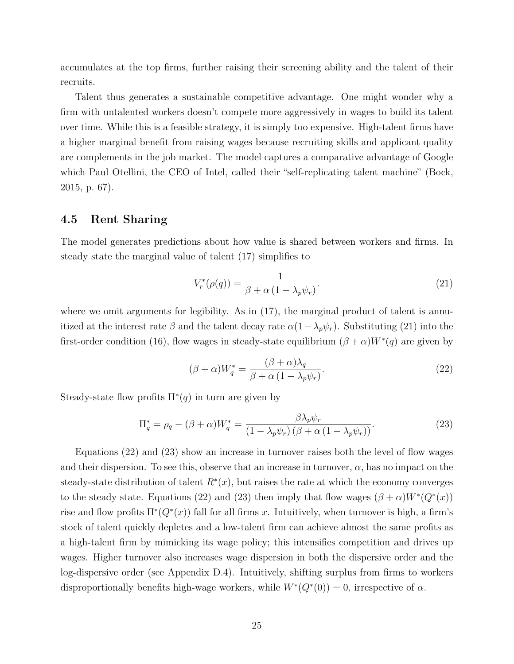accumulates at the top firms, further raising their screening ability and the talent of their recruits.

Talent thus generates a sustainable competitive advantage. One might wonder why a firm with untalented workers doesn't compete more aggressively in wages to build its talent over time. While this is a feasible strategy, it is simply too expensive. High-talent firms have a higher marginal benefit from raising wages because recruiting skills and applicant quality are complements in the job market. The model captures a comparative advantage of Google which Paul Otellini, the CEO of Intel, called their "self-replicating talent machine" (Bock, 2015, p. 67).

## 4.5 Rent Sharing

The model generates predictions about how value is shared between workers and firms. In steady state the marginal value of talent (17) simplifies to

$$
V_r^*(\rho(q)) = \frac{1}{\beta + \alpha \left(1 - \lambda_p \psi_r\right)}.\tag{21}
$$

where we omit arguments for legibility. As in  $(17)$ , the marginal product of talent is annuitized at the interest rate  $\beta$  and the talent decay rate  $\alpha(1-\lambda_p\psi_r)$ . Substituting (21) into the first-order condition (16), flow wages in steady-state equilibrium  $(\beta + \alpha)W^*(q)$  are given by

$$
(\beta + \alpha)W_q^* = \frac{(\beta + \alpha)\lambda_q}{\beta + \alpha(1 - \lambda_p\psi_r)}.
$$
\n(22)

Steady-state flow profits  $\Pi^*(q)$  in turn are given by

$$
\Pi_q^* = \rho_q - (\beta + \alpha) W_q^* = \frac{\beta \lambda_p \psi_r}{\left(1 - \lambda_p \psi_r\right) \left(\beta + \alpha \left(1 - \lambda_p \psi_r\right)\right)}.
$$
\n(23)

Equations (22) and (23) show an increase in turnover raises both the level of flow wages and their dispersion. To see this, observe that an increase in turnover,  $\alpha$ , has no impact on the steady-state distribution of talent  $R^*(x)$ , but raises the rate at which the economy converges to the steady state. Equations (22) and (23) then imply that flow wages  $(\beta + \alpha)W^*(Q^*(x))$ rise and flow profits  $\Pi^*(Q^*(x))$  fall for all firms x. Intuitively, when turnover is high, a firm's stock of talent quickly depletes and a low-talent firm can achieve almost the same profits as a high-talent firm by mimicking its wage policy; this intensifies competition and drives up wages. Higher turnover also increases wage dispersion in both the dispersive order and the log-dispersive order (see Appendix D.4). Intuitively, shifting surplus from firms to workers disproportionally benefits high-wage workers, while  $W^*(Q^*(0)) = 0$ , irrespective of  $\alpha$ .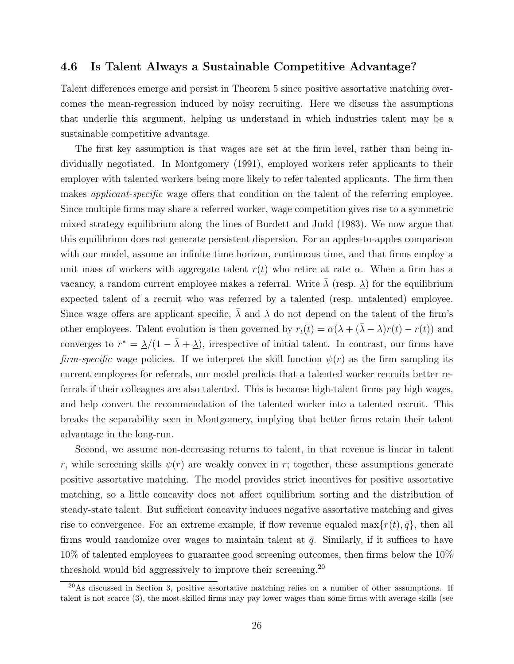## 4.6 Is Talent Always a Sustainable Competitive Advantage?

Talent differences emerge and persist in Theorem 5 since positive assortative matching overcomes the mean-regression induced by noisy recruiting. Here we discuss the assumptions that underlie this argument, helping us understand in which industries talent may be a sustainable competitive advantage.

The first key assumption is that wages are set at the firm level, rather than being individually negotiated. In Montgomery (1991), employed workers refer applicants to their employer with talented workers being more likely to refer talented applicants. The firm then makes *applicant-specific* wage offers that condition on the talent of the referring employee. Since multiple firms may share a referred worker, wage competition gives rise to a symmetric mixed strategy equilibrium along the lines of Burdett and Judd (1983). We now argue that this equilibrium does not generate persistent dispersion. For an apples-to-apples comparison with our model, assume an infinite time horizon, continuous time, and that firms employ a unit mass of workers with aggregate talent  $r(t)$  who retire at rate  $\alpha$ . When a firm has a vacancy, a random current employee makes a referral. Write  $\lambda$  (resp.  $\lambda$ ) for the equilibrium expected talent of a recruit who was referred by a talented (resp. untalented) employee. Since wage offers are applicant specific,  $\bar{\lambda}$  and  $\lambda$  do not depend on the talent of the firm's other employees. Talent evolution is then governed by  $r_t(t) = \alpha(\lambda + (\bar{\lambda} - \lambda)r(t) - r(t))$  and converges to  $r^* = \frac{\lambda}{1 - \bar{\lambda} + \lambda}$ , irrespective of initial talent. In contrast, our firms have firm-specific wage policies. If we interpret the skill function  $\psi(r)$  as the firm sampling its current employees for referrals, our model predicts that a talented worker recruits better referrals if their colleagues are also talented. This is because high-talent firms pay high wages, and help convert the recommendation of the talented worker into a talented recruit. This breaks the separability seen in Montgomery, implying that better firms retain their talent advantage in the long-run.

Second, we assume non-decreasing returns to talent, in that revenue is linear in talent r, while screening skills  $\psi(r)$  are weakly convex in r; together, these assumptions generate positive assortative matching. The model provides strict incentives for positive assortative matching, so a little concavity does not affect equilibrium sorting and the distribution of steady-state talent. But sufficient concavity induces negative assortative matching and gives rise to convergence. For an extreme example, if flow revenue equaled max $\{r(t), \bar{q}\}\,$ , then all firms would randomize over wages to maintain talent at  $\bar{q}$ . Similarly, if it suffices to have 10% of talented employees to guarantee good screening outcomes, then firms below the 10% threshold would bid aggressively to improve their screening.<sup>20</sup>

 $^{20}\text{As}$  discussed in Section 3, positive assortative matching relies on a number of other assumptions. If talent is not scarce (3), the most skilled firms may pay lower wages than some firms with average skills (see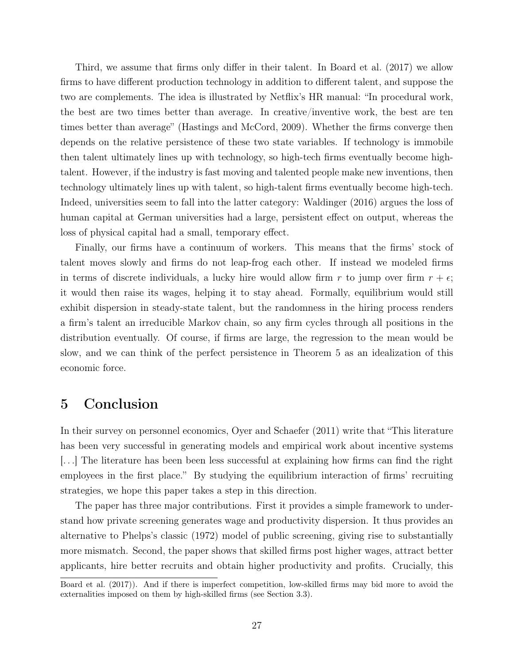Third, we assume that firms only differ in their talent. In Board et al. (2017) we allow firms to have different production technology in addition to different talent, and suppose the two are complements. The idea is illustrated by Netflix's HR manual: "In procedural work, the best are two times better than average. In creative/inventive work, the best are ten times better than average" (Hastings and McCord, 2009). Whether the firms converge then depends on the relative persistence of these two state variables. If technology is immobile then talent ultimately lines up with technology, so high-tech firms eventually become hightalent. However, if the industry is fast moving and talented people make new inventions, then technology ultimately lines up with talent, so high-talent firms eventually become high-tech. Indeed, universities seem to fall into the latter category: Waldinger (2016) argues the loss of human capital at German universities had a large, persistent effect on output, whereas the loss of physical capital had a small, temporary effect.

Finally, our firms have a continuum of workers. This means that the firms' stock of talent moves slowly and firms do not leap-frog each other. If instead we modeled firms in terms of discrete individuals, a lucky hire would allow firm r to jump over firm  $r + \epsilon$ ; it would then raise its wages, helping it to stay ahead. Formally, equilibrium would still exhibit dispersion in steady-state talent, but the randomness in the hiring process renders a firm's talent an irreducible Markov chain, so any firm cycles through all positions in the distribution eventually. Of course, if firms are large, the regression to the mean would be slow, and we can think of the perfect persistence in Theorem 5 as an idealization of this economic force.

# 5 Conclusion

In their survey on personnel economics, Oyer and Schaefer (2011) write that "This literature has been very successful in generating models and empirical work about incentive systems [. . .] The literature has been been less successful at explaining how firms can find the right employees in the first place." By studying the equilibrium interaction of firms' recruiting strategies, we hope this paper takes a step in this direction.

The paper has three major contributions. First it provides a simple framework to understand how private screening generates wage and productivity dispersion. It thus provides an alternative to Phelps's classic (1972) model of public screening, giving rise to substantially more mismatch. Second, the paper shows that skilled firms post higher wages, attract better applicants, hire better recruits and obtain higher productivity and profits. Crucially, this

Board et al. (2017)). And if there is imperfect competition, low-skilled firms may bid more to avoid the externalities imposed on them by high-skilled firms (see Section 3.3).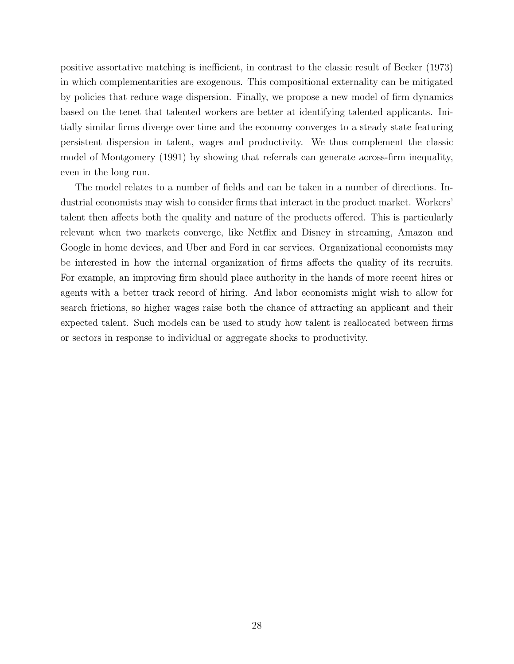positive assortative matching is inefficient, in contrast to the classic result of Becker (1973) in which complementarities are exogenous. This compositional externality can be mitigated by policies that reduce wage dispersion. Finally, we propose a new model of firm dynamics based on the tenet that talented workers are better at identifying talented applicants. Initially similar firms diverge over time and the economy converges to a steady state featuring persistent dispersion in talent, wages and productivity. We thus complement the classic model of Montgomery (1991) by showing that referrals can generate across-firm inequality, even in the long run.

The model relates to a number of fields and can be taken in a number of directions. Industrial economists may wish to consider firms that interact in the product market. Workers' talent then affects both the quality and nature of the products offered. This is particularly relevant when two markets converge, like Netflix and Disney in streaming, Amazon and Google in home devices, and Uber and Ford in car services. Organizational economists may be interested in how the internal organization of firms affects the quality of its recruits. For example, an improving firm should place authority in the hands of more recent hires or agents with a better track record of hiring. And labor economists might wish to allow for search frictions, so higher wages raise both the chance of attracting an applicant and their expected talent. Such models can be used to study how talent is reallocated between firms or sectors in response to individual or aggregate shocks to productivity.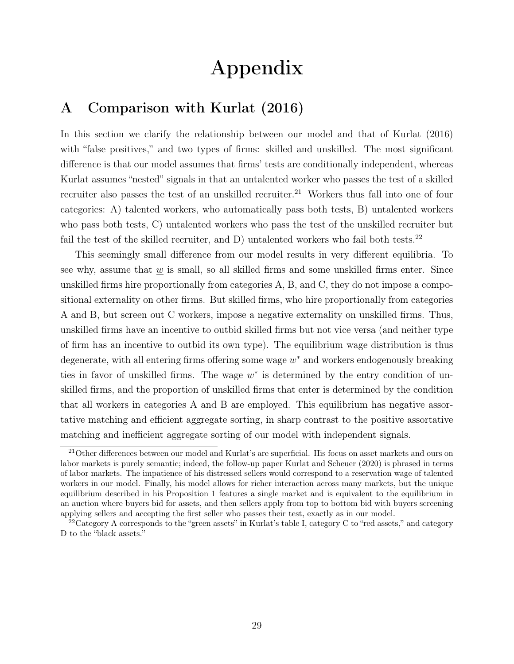# Appendix

# A Comparison with Kurlat (2016)

In this section we clarify the relationship between our model and that of Kurlat (2016) with "false positives," and two types of firms: skilled and unskilled. The most significant difference is that our model assumes that firms' tests are conditionally independent, whereas Kurlat assumes "nested" signals in that an untalented worker who passes the test of a skilled recruiter also passes the test of an unskilled recruiter.<sup>21</sup> Workers thus fall into one of four categories: A) talented workers, who automatically pass both tests, B) untalented workers who pass both tests, C) untalented workers who pass the test of the unskilled recruiter but fail the test of the skilled recruiter, and  $D)$  untalented workers who fail both tests.<sup>22</sup>

This seemingly small difference from our model results in very different equilibria. To see why, assume that  $w$  is small, so all skilled firms and some unskilled firms enter. Since unskilled firms hire proportionally from categories A, B, and C, they do not impose a compositional externality on other firms. But skilled firms, who hire proportionally from categories A and B, but screen out C workers, impose a negative externality on unskilled firms. Thus, unskilled firms have an incentive to outbid skilled firms but not vice versa (and neither type of firm has an incentive to outbid its own type). The equilibrium wage distribution is thus degenerate, with all entering firms offering some wage  $w^*$  and workers endogenously breaking ties in favor of unskilled firms. The wage  $w^*$  is determined by the entry condition of unskilled firms, and the proportion of unskilled firms that enter is determined by the condition that all workers in categories A and B are employed. This equilibrium has negative assortative matching and efficient aggregate sorting, in sharp contrast to the positive assortative matching and inefficient aggregate sorting of our model with independent signals.

<sup>&</sup>lt;sup>21</sup>Other differences between our model and Kurlat's are superficial. His focus on asset markets and ours on labor markets is purely semantic; indeed, the follow-up paper Kurlat and Scheuer (2020) is phrased in terms of labor markets. The impatience of his distressed sellers would correspond to a reservation wage of talented workers in our model. Finally, his model allows for richer interaction across many markets, but the unique equilibrium described in his Proposition 1 features a single market and is equivalent to the equilibrium in an auction where buyers bid for assets, and then sellers apply from top to bottom bid with buyers screening applying sellers and accepting the first seller who passes their test, exactly as in our model.

<sup>&</sup>lt;sup>22</sup>Category A corresponds to the "green assets" in Kurlat's table I, category C to "red assets," and category D to the "black assets."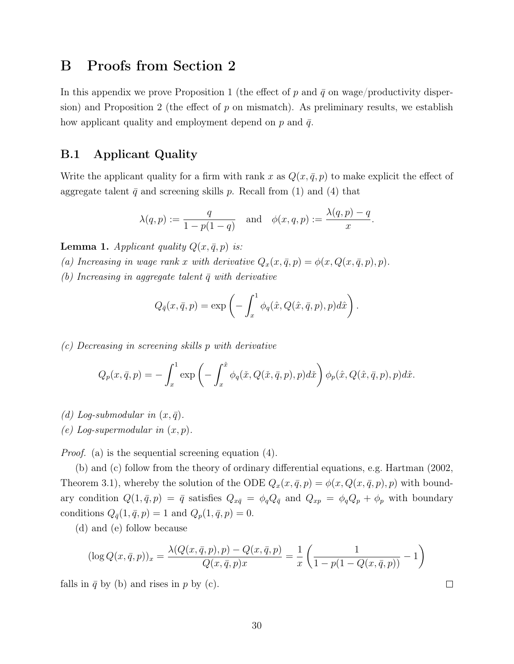# B Proofs from Section 2

In this appendix we prove Proposition 1 (the effect of p and  $\bar{q}$  on wage/productivity dispersion) and Proposition 2 (the effect of  $p$  on mismatch). As preliminary results, we establish how applicant quality and employment depend on p and  $\bar{q}$ .

# B.1 Applicant Quality

Write the applicant quality for a firm with rank x as  $Q(x, \bar{q}, p)$  to make explicit the effect of aggregate talent  $\bar{q}$  and screening skills p. Recall from (1) and (4) that

$$
\lambda(q,p) := \frac{q}{1-p(1-q)}
$$
 and  $\phi(x,q,p) := \frac{\lambda(q,p)-q}{x}$ .

**Lemma 1.** Applicant quality  $Q(x, \bar{q}, p)$  is:

(a) Increasing in wage rank x with derivative  $Q_x(x, \bar{q}, p) = \phi(x, Q(x, \bar{q}, p), p)$ .

(b) Increasing in aggregate talent  $\bar{q}$  with derivative

$$
Q_{\bar{q}}(x,\bar{q},p) = \exp\left(-\int_x^1 \phi_q(\hat{x},Q(\hat{x},\bar{q},p),p)d\hat{x}\right).
$$

(c) Decreasing in screening skills p with derivative

$$
Q_p(x,\bar{q},p) = -\int_x^1 \exp\left(-\int_x^{\hat{x}} \phi_q(\tilde{x},Q(\tilde{x},\bar{q},p),p)d\tilde{x}\right)\phi_p(\hat{x},Q(\hat{x},\bar{q},p),p)d\hat{x}.
$$

- (d) Log-submodular in  $(x, \bar{q})$ .
- (e) Log-supermodular in  $(x, p)$ .

*Proof.* (a) is the sequential screening equation (4).

(b) and (c) follow from the theory of ordinary differential equations, e.g. Hartman (2002, Theorem 3.1), whereby the solution of the ODE  $Q_x(x, \bar{q}, p) = \phi(x, Q(x, \bar{q}, p), p)$  with boundary condition  $Q(1, \bar{q}, p) = \bar{q}$  satisfies  $Q_{x\bar{q}} = \phi_q Q_{\bar{q}}$  and  $Q_{xp} = \phi_q Q_p + \phi_p$  with boundary conditions  $Q_{\bar{q}}(1, \bar{q}, p) = 1$  and  $Q_p(1, \bar{q}, p) = 0$ .

(d) and (e) follow because

$$
(\log Q(x, \bar{q}, p))_x = \frac{\lambda(Q(x, \bar{q}, p), p) - Q(x, \bar{q}, p)}{Q(x, \bar{q}, p)x} = \frac{1}{x} \left( \frac{1}{1 - p(1 - Q(x, \bar{q}, p))} - 1 \right)
$$

 $\Box$ 

falls in  $\bar{q}$  by (b) and rises in p by (c).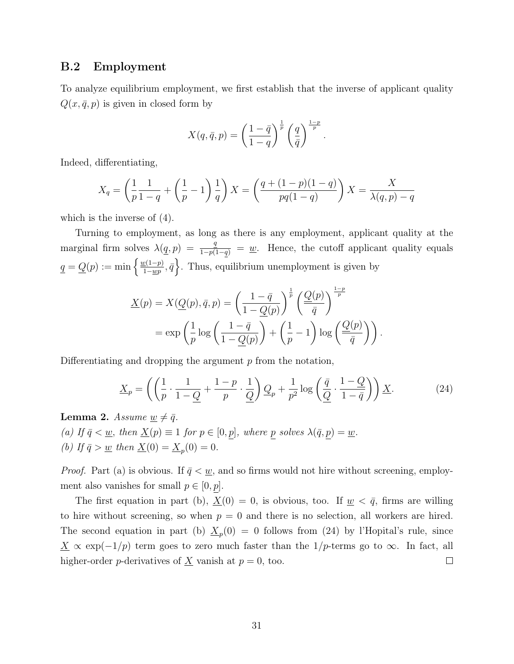## B.2 Employment

To analyze equilibrium employment, we first establish that the inverse of applicant quality  $Q(x, \bar{q}, p)$  is given in closed form by

$$
X(q,\bar{q},p) = \left(\frac{1-\bar{q}}{1-q}\right)^{\frac{1}{p}} \left(\frac{q}{\bar{q}}\right)^{\frac{1-p}{p}}
$$

.

Indeed, differentiating,

$$
X_q = \left(\frac{1}{p} \frac{1}{1-q} + \left(\frac{1}{p} - 1\right) \frac{1}{q}\right) X = \left(\frac{q + (1-p)(1-q)}{pq(1-q)}\right) X = \frac{X}{\lambda(q, p) - q}
$$

which is the inverse of (4).

Turning to employment, as long as there is any employment, applicant quality at the marginal firm solves  $\lambda(q, p) = \frac{q}{1-p(1-q)} = \underline{w}$ . Hence, the cutoff applicant quality equals  $q = Q(p) := \min \left\{ \frac{\underline{w}(1-p)}{1 - \underline{w}(p)} \right\}$  $\left\{\frac{\varrho(1-p)}{1-\underline{w}p}, \bar{q}\right\}$ . Thus, equilibrium unemployment is given by

$$
\underline{X}(p) = X(\underline{Q}(p), \bar{q}, p) = \left(\frac{1 - \bar{q}}{1 - \underline{Q}(p)}\right)^{\frac{1}{p}} \left(\frac{\underline{Q}(p)}{\bar{q}}\right)^{\frac{1 - p}{p}}
$$

$$
= \exp\left(\frac{1}{p}\log\left(\frac{1 - \bar{q}}{1 - \underline{Q}(p)}\right) + \left(\frac{1}{p} - 1\right)\log\left(\frac{\underline{Q}(p)}{\bar{q}}\right)\right).
$$

Differentiating and dropping the argument  $p$  from the notation,

$$
\underline{X}_p = \left( \left( \frac{1}{p} \cdot \frac{1}{1 - \underline{Q}} + \frac{1 - p}{p} \cdot \frac{1}{\underline{Q}} \right) \underline{Q}_p + \frac{1}{p^2} \log \left( \frac{\bar{q}}{\underline{Q}} \cdot \frac{1 - \underline{Q}}{1 - \bar{q}} \right) \right) \underline{X}.
$$
 (24)

**Lemma 2.** Assume  $\underline{w} \neq \overline{q}$ . (a) If  $\bar{q} < \underline{w}$ , then  $\underline{X}(p) \equiv 1$  for  $p \in [0, p]$ , where p solves  $\lambda(\bar{q}, p) = \underline{w}$ . (b) If  $\bar{q} > \underline{w}$  then  $\underline{X}(0) = \underline{X}_p(0) = 0$ .

*Proof.* Part (a) is obvious. If  $\bar{q} < \underline{w}$ , and so firms would not hire without screening, employment also vanishes for small  $p \in [0, p]$ .

The first equation in part (b),  $\underline{X}(0) = 0$ , is obvious, too. If  $\underline{w} < \overline{q}$ , firms are willing to hire without screening, so when  $p = 0$  and there is no selection, all workers are hired. The second equation in part (b)  $\underline{X}_p(0) = 0$  follows from (24) by l'Hopital's rule, since  $\underline{X} \propto \exp(-1/p)$  term goes to zero much faster than the 1/p-terms go to  $\infty$ . In fact, all higher-order *p*-derivatives of  $\underline{X}$  vanish at  $p = 0$ , too.  $\Box$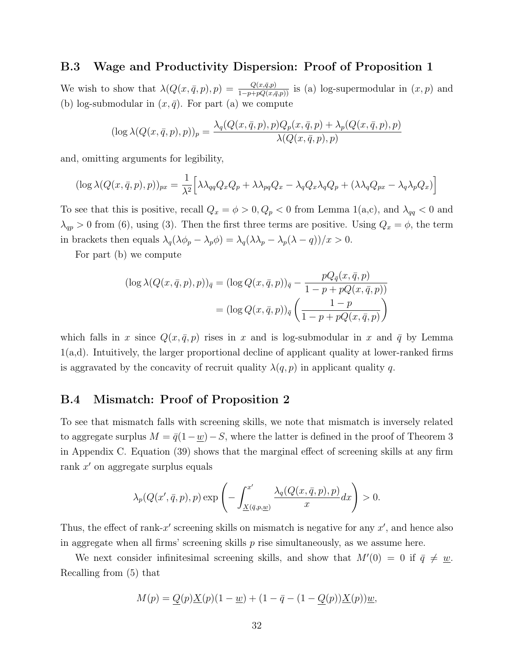## B.3 Wage and Productivity Dispersion: Proof of Proposition 1

We wish to show that  $\lambda(Q(x,\bar q,p), p) = \frac{Q(x,\bar q,p)}{1-p+pQ(x,\bar q,p)}$  is (a) log-supermodular in  $(x, p)$  and (b) log-submodular in  $(x, \bar{q})$ . For part (a) we compute

$$
(\log \lambda(Q(x, \bar{q}, p), p))_p = \frac{\lambda_q(Q(x, \bar{q}, p), p)Q_p(x, \bar{q}, p) + \lambda_p(Q(x, \bar{q}, p), p)}{\lambda(Q(x, \bar{q}, p), p)}
$$

and, omitting arguments for legibility,

$$
(\log \lambda(Q(x, \bar{q}, p), p))_{px} = \frac{1}{\lambda^2} \Big[ \lambda \lambda_{qq} Q_x Q_p + \lambda \lambda_{pq} Q_x - \lambda_q Q_x \lambda_q Q_p + (\lambda \lambda_q Q_{px} - \lambda_q \lambda_p Q_x) \Big]
$$

To see that this is positive, recall  $Q_x = \phi > 0$ ,  $Q_p < 0$  from Lemma 1(a,c), and  $\lambda_{qq} < 0$  and  $\lambda_{qp} > 0$  from (6), using (3). Then the first three terms are positive. Using  $Q_x = \phi$ , the term in brackets then equals  $\lambda_q(\lambda \phi_p - \lambda_p \phi) = \lambda_q(\lambda \lambda_p - \lambda_p(\lambda - q))/x > 0.$ 

For part (b) we compute

$$
(\log \lambda(Q(x, \bar{q}, p), p))_{\bar{q}} = (\log Q(x, \bar{q}, p))_{\bar{q}} - \frac{pQ_{\bar{q}}(x, \bar{q}, p)}{1 - p + pQ(x, \bar{q}, p))}
$$

$$
= (\log Q(x, \bar{q}, p))_{\bar{q}} \left( \frac{1 - p}{1 - p + pQ(x, \bar{q}, p)} \right)
$$

which falls in x since  $Q(x, \bar{q}, p)$  rises in x and is log-submodular in x and  $\bar{q}$  by Lemma 1(a,d). Intuitively, the larger proportional decline of applicant quality at lower-ranked firms is aggravated by the concavity of recruit quality  $\lambda(q, p)$  in applicant quality q.

## B.4 Mismatch: Proof of Proposition 2

To see that mismatch falls with screening skills, we note that mismatch is inversely related to aggregate surplus  $M = \bar{q}(1-\underline{w})-S$ , where the latter is defined in the proof of Theorem 3 in Appendix C. Equation (39) shows that the marginal effect of screening skills at any firm rank  $x'$  on aggregate surplus equals

$$
\lambda_p(Q(x', \bar{q}, p), p) \exp\left(-\int_{\underline{X}(\bar{q}, p, \underline{w})}^{x'} \frac{\lambda_q(Q(x, \bar{q}, p), p)}{x} dx\right) > 0.
$$

Thus, the effect of rank-x' screening skills on mismatch is negative for any  $x'$ , and hence also in aggregate when all firms' screening skills  $p$  rise simultaneously, as we assume here.

We next consider infinitesimal screening skills, and show that  $M'(0) = 0$  if  $\bar{q} \neq \underline{w}$ . Recalling from (5) that

$$
M(p) = Q(p)X(p)(1 - \underline{w}) + (1 - \bar{q} - (1 - Q(p))X(p))\underline{w},
$$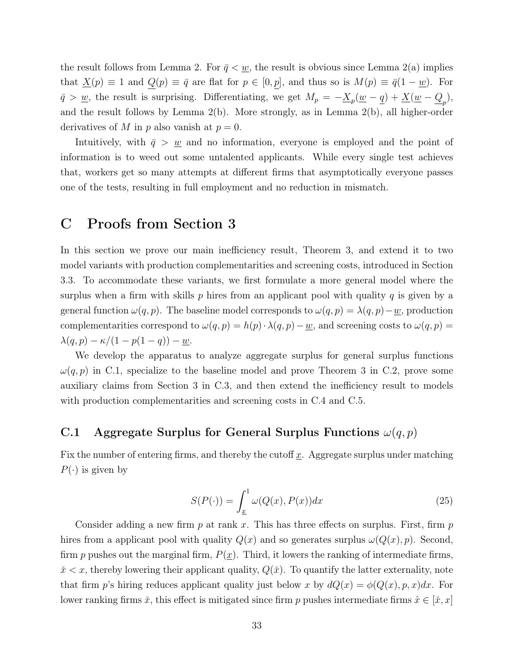the result follows from Lemma 2. For  $\bar{q} < \underline{w}$ , the result is obvious since Lemma 2(a) implies that  $\underline{X}(p) \equiv 1$  and  $Q(p) \equiv \overline{q}$  are flat for  $p \in [0, p]$ , and thus so is  $M(p) \equiv \overline{q}(1 - \underline{w})$ . For  $\bar{q} > \underline{w}$ , the result is surprising. Differentiating, we get  $M_p = -\underline{X}_p(\underline{w} - \underline{q}) + \underline{X}(\underline{w} - \underline{Q}_p)$ , and the result follows by Lemma 2(b). More strongly, as in Lemma 2(b), all higher-order derivatives of M in p also vanish at  $p = 0$ .

Intuitively, with  $\bar{q} > w$  and no information, everyone is employed and the point of information is to weed out some untalented applicants. While every single test achieves that, workers get so many attempts at different firms that asymptotically everyone passes one of the tests, resulting in full employment and no reduction in mismatch.

# C Proofs from Section 3

In this section we prove our main inefficiency result, Theorem 3, and extend it to two model variants with production complementarities and screening costs, introduced in Section 3.3. To accommodate these variants, we first formulate a more general model where the surplus when a firm with skills p hires from an applicant pool with quality q is given by a general function  $\omega(q, p)$ . The baseline model corresponds to  $\omega(q, p) = \lambda(q, p) - \underline{w}$ , production complementarities correspond to  $\omega(q, p) = h(p) \cdot \lambda(q, p) - \underline{w}$ , and screening costs to  $\omega(q, p) =$  $\lambda(q,p) - \kappa/(1-p(1-q)) - \underline{w}.$ 

We develop the apparatus to analyze aggregate surplus for general surplus functions  $\omega(q, p)$  in C.1, specialize to the baseline model and prove Theorem 3 in C.2, prove some auxiliary claims from Section 3 in C.3, and then extend the inefficiency result to models with production complementarities and screening costs in C.4 and C.5.

# C.1 Aggregate Surplus for General Surplus Functions  $\omega(q, p)$

Fix the number of entering firms, and thereby the cutoff  $\underline{x}$ . Aggregate surplus under matching  $P(\cdot)$  is given by

$$
S(P(\cdot)) = \int_{\underline{x}}^{1} \omega(Q(x), P(x)) dx
$$
\n(25)

Consider adding a new firm  $p$  at rank  $x$ . This has three effects on surplus. First, firm  $p$ hires from a applicant pool with quality  $Q(x)$  and so generates surplus  $\omega(Q(x), p)$ . Second, firm p pushes out the marginal firm,  $P(x)$ . Third, it lowers the ranking of intermediate firms,  $\check{x} < x$ , thereby lowering their applicant quality,  $Q(\check{x})$ . To quantify the latter externality, note that firm p's hiring reduces applicant quality just below x by  $dQ(x) = \phi(Q(x), p, x)dx$ . For lower ranking firms  $\check{x}$ , this effect is mitigated since firm p pushes intermediate firms  $\hat{x} \in [\check{x}, x]$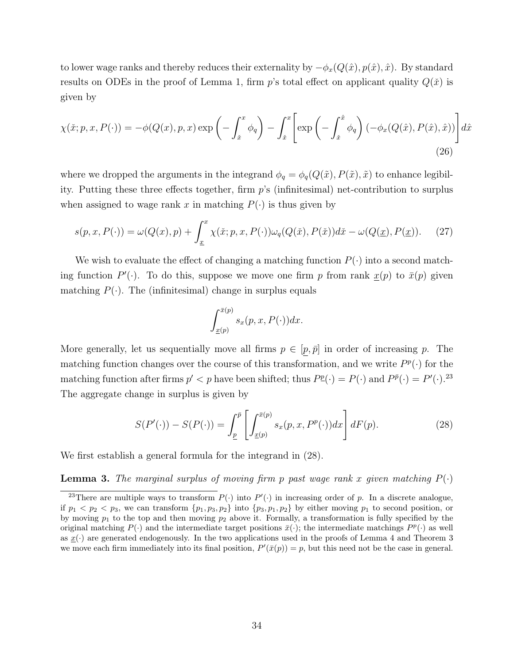to lower wage ranks and thereby reduces their externality by  $-\phi_x(Q(\hat{x}), p(\hat{x}), \hat{x})$ . By standard results on ODEs in the proof of Lemma 1, firm p's total effect on applicant quality  $Q(\check{x})$  is given by

$$
\chi(\check{x}; p, x, P(\cdot)) = -\phi(Q(x), p, x) \exp\left(-\int_{\check{x}}^x \phi_q\right) - \int_{\check{x}}^x \left[\exp\left(-\int_{\check{x}}^{\hat{x}} \phi_q\right) (-\phi_x(Q(\hat{x}), P(\hat{x}), \hat{x}))\right] d\hat{x}
$$
\n(26)

where we dropped the arguments in the integrand  $\phi_q = \phi_q(Q(\tilde{x}), P(\tilde{x}), \tilde{x})$  to enhance legibility. Putting these three effects together, firm p's (infinitesimal) net-contribution to surplus when assigned to wage rank x in matching  $P(\cdot)$  is thus given by

$$
s(p, x, P(\cdot)) = \omega(Q(x), p) + \int_{\underline{x}}^{x} \chi(\check{x}; p, x, P(\cdot)) \omega_q(Q(\check{x}), P(\check{x})) d\check{x} - \omega(Q(\underline{x}), P(\underline{x})). \tag{27}
$$

We wish to evaluate the effect of changing a matching function  $P(\cdot)$  into a second matching function  $P'(\cdot)$ . To do this, suppose we move one firm p from rank  $\underline{x}(p)$  to  $\overline{x}(p)$  given matching  $P(\cdot)$ . The (infinitesimal) change in surplus equals

$$
\int_{\underline{x}(p)}^{\bar{x}(p)} s_x(p, x, P(\cdot)) dx.
$$

More generally, let us sequentially move all firms  $p \in [p, \bar{p}]$  in order of increasing p. The matching function changes over the course of this transformation, and we write  $P^p(\cdot)$  for the matching function after firms  $p' < p$  have been shifted; thus  $P^{\underline{p}}(\cdot) = P(\cdot)$  and  $P^{\overline{p}}(\cdot) = P'(\cdot)$ .<sup>23</sup> The aggregate change in surplus is given by

$$
S(P'(\cdot)) - S(P(\cdot)) = \int_{\underline{p}}^{\overline{p}} \left[ \int_{\underline{x}(p)}^{\overline{x}(p)} s_x(p, x, P^p(\cdot)) dx \right] dF(p).
$$
 (28)

We first establish a general formula for the integrand in (28).

**Lemma 3.** The marginal surplus of moving firm p past wage rank x given matching  $P(\cdot)$ 

<sup>&</sup>lt;sup>23</sup>There are multiple ways to transform  $P(\cdot)$  into  $P'(\cdot)$  in increasing order of p. In a discrete analogue, if  $p_1 < p_2 < p_3$ , we can transform  $\{p_1, p_3, p_2\}$  into  $\{p_3, p_1, p_2\}$  by either moving  $p_1$  to second position, or by moving  $p_1$  to the top and then moving  $p_2$  above it. Formally, a transformation is fully specified by the original matching  $P(\cdot)$  and the intermediate target positions  $\bar{x}(\cdot)$ ; the intermediate matchings  $P^p(\cdot)$  as well as  $\underline{x}(\cdot)$  are generated endogenously. In the two applications used in the proofs of Lemma 4 and Theorem 3 we move each firm immediately into its final position,  $P'(\bar{x}(p)) = p$ , but this need not be the case in general.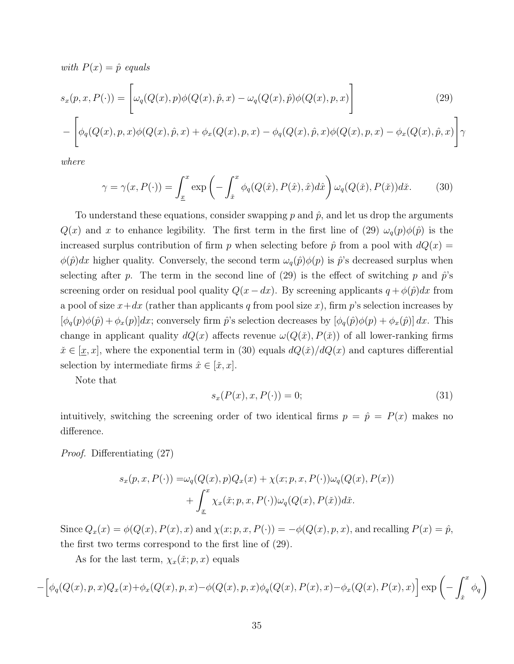with  $P(x) = \hat{p}$  equals

$$
s_x(p, x, P(\cdot)) = \left[ \omega_q(Q(x), p)\phi(Q(x), \hat{p}, x) - \omega_q(Q(x), \hat{p})\phi(Q(x), p, x) \right]
$$
\n
$$
- \left[ \phi_q(Q(x), p, x)\phi(Q(x), \hat{p}, x) + \phi_x(Q(x), p, x) - \phi_q(Q(x), \hat{p}, x)\phi(Q(x), p, x) - \phi_x(Q(x), \hat{p}, x) \right] \gamma
$$
\n(29)

where

$$
\gamma = \gamma(x, P(\cdot)) = \int_{\underline{x}}^{x} \exp\left(-\int_{\check{x}}^{x} \phi_q(Q(\hat{x}), P(\hat{x}), \hat{x}) d\hat{x}\right) \omega_q(Q(\check{x}), P(\check{x})) d\check{x}.
$$
 (30)

To understand these equations, consider swapping p and  $\hat{p}$ , and let us drop the arguments  $Q(x)$  and x to enhance legibility. The first term in the first line of (29)  $\omega_q(p)\phi(\hat{p})$  is the increased surplus contribution of firm p when selecting before  $\hat{p}$  from a pool with  $dQ(x)$  $\phi(\hat{p})dx$  higher quality. Conversely, the second term  $\omega_q(\hat{p})\phi(p)$  is  $\hat{p}$ 's decreased surplus when selecting after p. The term in the second line of (29) is the effect of switching p and  $\hat{p}$ 's screening order on residual pool quality  $Q(x - dx)$ . By screening applicants  $q + \phi(\hat{p})dx$  from a pool of size  $x+dx$  (rather than applicants q from pool size x), firm p's selection increases by  $[\phi_q(p)\phi(\hat{p}) + \phi_x(p)]dx$ ; conversely firm  $\hat{p}$ 's selection decreases by  $[\phi_q(\hat{p})\phi(p) + \phi_x(\hat{p})]dx$ . This change in applicant quality  $dQ(x)$  affects revenue  $\omega(Q(\tilde{x}), P(\tilde{x}))$  of all lower-ranking firms  $\check{x} \in [\underline{x}, x]$ , where the exponential term in (30) equals  $dQ(\check{x})/dQ(x)$  and captures differential selection by intermediate firms  $\hat{x} \in [\check{x}, x]$ .

Note that

$$
s_x(P(x), x, P(\cdot)) = 0;
$$
\n<sup>(31)</sup>

intuitively, switching the screening order of two identical firms  $p = \hat{p} = P(x)$  makes no difference.

Proof. Differentiating (27)

$$
s_x(p, x, P(\cdot)) = \omega_q(Q(x), p)Q_x(x) + \chi(x; p, x, P(\cdot))\omega_q(Q(x), P(x))
$$

$$
+ \int_x^x \chi_x(\check{x}; p, x, P(\cdot))\omega_q(Q(x), P(\check{x}))d\check{x}.
$$

Since  $Q_x(x) = \phi(Q(x), P(x), x)$  and  $\chi(x; p, x, P(\cdot)) = -\phi(Q(x), p, x)$ , and recalling  $P(x) = \hat{p}$ , the first two terms correspond to the first line of (29).

As for the last term,  $\chi_x(\check{x}; p, x)$  equals

$$
-\Big[\phi_q(Q(x),p,x)Q_x(x)+\phi_x(Q(x),p,x)-\phi(Q(x),p,x)\phi_q(Q(x),P(x),x)-\phi_x(Q(x),P(x),x)\Big]\exp\left(-\int_x^x\phi_q\right)
$$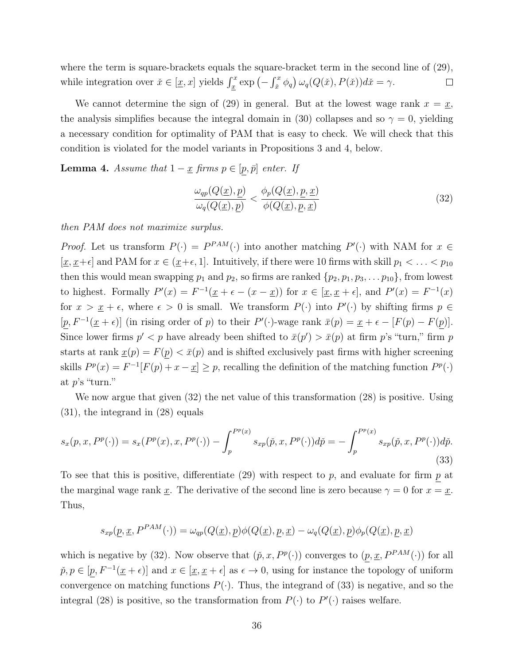where the term is square-brackets equals the square-bracket term in the second line of  $(29)$ , while integration over  $\check{x} \in [\underline{x}, x]$  yields  $\int_{\underline{x}}^x \exp(-\int_{\check{x}}^x \phi_q) \omega_q(Q(\check{x}), P(\check{x})) d\check{x} = \gamma$ .  $\Box$ 

We cannot determine the sign of (29) in general. But at the lowest wage rank  $x = \underline{x}$ , the analysis simplifies because the integral domain in (30) collapses and so  $\gamma = 0$ , yielding a necessary condition for optimality of PAM that is easy to check. We will check that this condition is violated for the model variants in Propositions 3 and 4, below.

**Lemma 4.** Assume that  $1 - \underline{x}$  firms  $p \in [p, \bar{p}]$  enter. If

$$
\frac{\omega_{qp}(Q(\underline{x}), \underline{p})}{\omega_q(Q(\underline{x}), \underline{p})} < \frac{\phi_p(Q(\underline{x}), \underline{p}, \underline{x})}{\phi(Q(\underline{x}), \underline{p}, \underline{x})} \tag{32}
$$

then PAM does not maximize surplus.

*Proof.* Let us transform  $P(\cdot) = P^{PAM}(\cdot)$  into another matching  $P'(\cdot)$  with NAM for  $x \in$  $[\underline{x}, \underline{x}+\epsilon]$  and PAM for  $x \in (\underline{x}+\epsilon, 1]$ . Intuitively, if there were 10 firms with skill  $p_1 < \ldots < p_{10}$ then this would mean swapping  $p_1$  and  $p_2$ , so firms are ranked  $\{p_2, p_1, p_3, \ldots p_{10}\}$ , from lowest to highest. Formally  $P'(x) = F^{-1}(\underline{x} + \epsilon - (x - \underline{x}))$  for  $x \in [\underline{x}, \underline{x} + \epsilon]$ , and  $P'(x) = F^{-1}(x)$ for  $x > \underline{x} + \epsilon$ , where  $\epsilon > 0$  is small. We transform  $P(\cdot)$  into  $P'(\cdot)$  by shifting firms  $p \in$  $[p, F^{-1}(\underline{x} + \epsilon)]$  (in rising order of p) to their  $P'(\cdot)$ -wage rank  $\bar{x}(p) = \underline{x} + \epsilon - [F(p) - F(\underline{p})]$ . Since lower firms  $p' < p$  have already been shifted to  $\bar{x}(p') > \bar{x}(p)$  at firm p's "turn," firm p starts at rank  $\underline{x}(p) = F(p) < \overline{x}(p)$  and is shifted exclusively past firms with higher screening skills  $P^p(x) = F^{-1}[F(p) + x - x] \ge p$ , recalling the definition of the matching function  $P^p(\cdot)$ at  $p$ 's "turn."

We now argue that given (32) the net value of this transformation (28) is positive. Using (31), the integrand in (28) equals

$$
s_x(p, x, P^p(\cdot)) = s_x(P^p(x), x, P^p(\cdot)) - \int_p^{P^p(x)} s_{xp}(\check{p}, x, P^p(\cdot)) d\check{p} = -\int_p^{P^p(x)} s_{xp}(\check{p}, x, P^p(\cdot)) d\check{p}.
$$
\n(33)

To see that this is positive, differentiate  $(29)$  with respect to p, and evaluate for firm p at the marginal wage rank  $\underline{x}$ . The derivative of the second line is zero because  $\gamma = 0$  for  $x = \underline{x}$ . Thus,

$$
s_{xp}(\underline{p}, \underline{x}, P^{PAM}(\cdot)) = \omega_{qp}(Q(\underline{x}), \underline{p})\phi(Q(\underline{x}), \underline{p}, \underline{x}) - \omega_q(Q(\underline{x}), \underline{p})\phi_p(Q(\underline{x}), \underline{p}, \underline{x})
$$

which is negative by (32). Now observe that  $(\check{p}, x, P^p(\cdot))$  converges to  $(\underline{p}, \underline{x}, P^{PAM}(\cdot))$  for all  $\check{p}, p \in [p, F^{-1}(\underline{x} + \epsilon)]$  and  $x \in [\underline{x}, \underline{x} + \epsilon]$  as  $\epsilon \to 0$ , using for instance the topology of uniform convergence on matching functions  $P(\cdot)$ . Thus, the integrand of (33) is negative, and so the integral (28) is positive, so the transformation from  $P(\cdot)$  to  $P'(\cdot)$  raises welfare.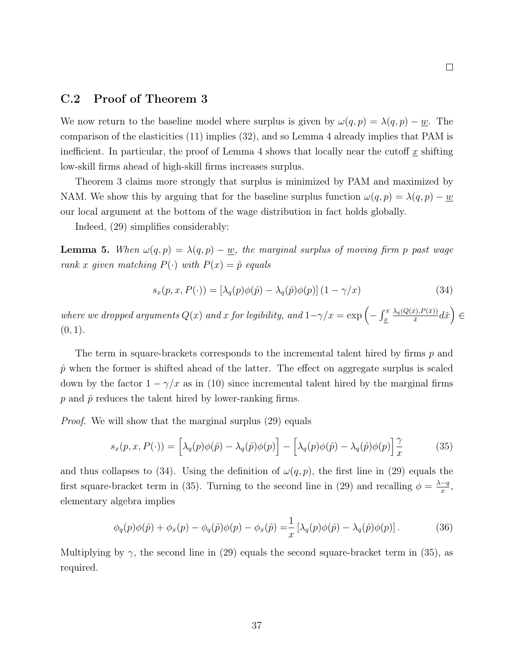# C.2 Proof of Theorem 3

We now return to the baseline model where surplus is given by  $\omega(q, p) = \lambda(q, p) - \underline{w}$ . The comparison of the elasticities (11) implies (32), and so Lemma 4 already implies that PAM is inefficient. In particular, the proof of Lemma 4 shows that locally near the cutoff  $x$  shifting low-skill firms ahead of high-skill firms increases surplus.

Theorem 3 claims more strongly that surplus is minimized by PAM and maximized by NAM. We show this by arguing that for the baseline surplus function  $\omega(q, p) = \lambda(q, p) - \underline{w}$ our local argument at the bottom of the wage distribution in fact holds globally.

Indeed, (29) simplifies considerably:

**Lemma 5.** When  $\omega(q, p) = \lambda(q, p) - \underline{w}$ , the marginal surplus of moving firm p past wage rank x given matching  $P(\cdot)$  with  $P(x) = \hat{p}$  equals

$$
s_x(p, x, P(\cdot)) = \left[\lambda_q(p)\phi(\hat{p}) - \lambda_q(\hat{p})\phi(p)\right](1 - \gamma/x)
$$
\n(34)

where we dropped arguments  $Q(x)$  and x for legibility, and  $1-\gamma/x = \exp\left(-\int_{\underline{x}}^x$  $\lambda_q(Q(\v{x}),P(\v{x}))$  $\left(\frac{\tilde{x}}{\tilde{x}}\right)$  $\left(\frac{\tilde{x}}{2}\right)$ ∈  $(0, 1)$ .

The term in square-brackets corresponds to the incremental talent hired by firms  $p$  and  $\hat{p}$  when the former is shifted ahead of the latter. The effect on aggregate surplus is scaled down by the factor  $1 - \gamma/x$  as in (10) since incremental talent hired by the marginal firms  $p$  and  $\hat{p}$  reduces the talent hired by lower-ranking firms.

Proof. We will show that the marginal surplus (29) equals

$$
s_x(p, x, P(\cdot)) = \left[\lambda_q(p)\phi(\hat{p}) - \lambda_q(\hat{p})\phi(p)\right] - \left[\lambda_q(p)\phi(\hat{p}) - \lambda_q(\hat{p})\phi(p)\right] \frac{\gamma}{x}
$$
(35)

and thus collapses to (34). Using the definition of  $\omega(q, p)$ , the first line in (29) equals the first square-bracket term in (35). Turning to the second line in (29) and recalling  $\phi = \frac{\lambda - q}{x}$ , elementary algebra implies

$$
\phi_q(p)\phi(\hat{p}) + \phi_x(p) - \phi_q(\hat{p})\phi(p) - \phi_x(\hat{p}) = \frac{1}{x} [\lambda_q(p)\phi(\hat{p}) - \lambda_q(\hat{p})\phi(p)].
$$
\n(36)

Multiplying by  $\gamma$ , the second line in (29) equals the second square-bracket term in (35), as required.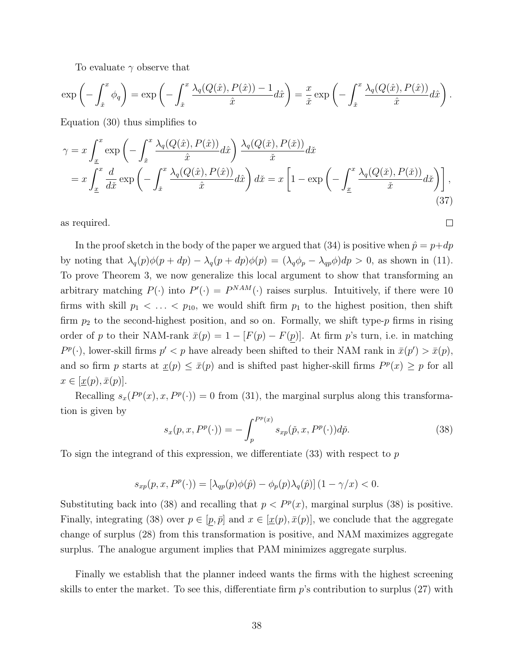To evaluate  $\gamma$  observe that

$$
\exp\left(-\int_{\tilde{x}}^x \phi_q\right) = \exp\left(-\int_{\tilde{x}}^x \frac{\lambda_q(Q(\hat{x}), P(\hat{x})) - 1}{\hat{x}} d\hat{x}\right) = \frac{x}{\tilde{x}} \exp\left(-\int_{\tilde{x}}^x \frac{\lambda_q(Q(\hat{x}), P(\hat{x}))}{\hat{x}} d\hat{x}\right).
$$

Equation (30) thus simplifies to

$$
\gamma = x \int_{\frac{x}{2}}^{x} \exp\left(-\int_{\tilde{x}}^{x} \frac{\lambda_{q}(Q(\hat{x}), P(\hat{x}))}{\hat{x}} d\hat{x}\right) \frac{\lambda_{q}(Q(\check{x}), P(\check{x}))}{\check{x}} d\check{x}
$$

$$
= x \int_{\frac{x}{2}}^{x} \frac{d}{d\check{x}} \exp\left(-\int_{\check{x}}^{x} \frac{\lambda_{q}(Q(\hat{x}), P(\hat{x}))}{\hat{x}} d\hat{x}\right) d\check{x} = x \left[1 - \exp\left(-\int_{\frac{x}{2}}^{x} \frac{\lambda_{q}(Q(\check{x}), P(\check{x}))}{\check{x}} d\check{x}\right)\right],
$$
(37)

as required.

In the proof sketch in the body of the paper we argued that (34) is positive when  $\hat{p} = p + dp$ by noting that  $\lambda_q(p)\phi(p+dp) - \lambda_q(p+dp)\phi(p) = (\lambda_q\phi_p - \lambda_{qp}\phi)dp > 0$ , as shown in (11). To prove Theorem 3, we now generalize this local argument to show that transforming an arbitrary matching  $P(\cdot)$  into  $P'(\cdot) = P^{NAM}(\cdot)$  raises surplus. Intuitively, if there were 10 firms with skill  $p_1 < \ldots < p_{10}$ , we would shift firm  $p_1$  to the highest position, then shift firm  $p_2$  to the second-highest position, and so on. Formally, we shift type-p firms in rising order of p to their NAM-rank  $\bar{x}(p) = 1 - [F(p) - F(p)]$ . At firm p's turn, i.e. in matching  $P^p(\cdot)$ , lower-skill firms  $p' < p$  have already been shifted to their NAM rank in  $\bar{x}(p') > \bar{x}(p)$ , and so firm p starts at  $\underline{x}(p) \leq \overline{x}(p)$  and is shifted past higher-skill firms  $P^p(x) \geq p$  for all  $x \in |\underline{x}(p), \overline{x}(p)|.$ 

Recalling  $s_x(P^p(x), x, P^p(\cdot)) = 0$  from (31), the marginal surplus along this transformation is given by

$$
s_x(p, x, P^p(\cdot)) = -\int_p^{P^p(x)} s_{xp}(\check{p}, x, P^p(\cdot))d\check{p}.
$$
\n(38)

 $\Box$ 

To sign the integrand of this expression, we differentiate  $(33)$  with respect to p

$$
s_{xp}(p, x, P^p(\cdot)) = \left[\lambda_{qp}(p)\phi(\hat p) - \phi_p(p)\lambda_q(\hat p)\right](1-\gamma/x) < 0.
$$

Substituting back into (38) and recalling that  $p < P<sup>p</sup>(x)$ , marginal surplus (38) is positive. Finally, integrating (38) over  $p \in [p, \bar{p}]$  and  $x \in [\underline{x}(p), \bar{x}(p)]$ , we conclude that the aggregate change of surplus (28) from this transformation is positive, and NAM maximizes aggregate surplus. The analogue argument implies that PAM minimizes aggregate surplus.

Finally we establish that the planner indeed wants the firms with the highest screening skills to enter the market. To see this, differentiate firm  $p$ 's contribution to surplus (27) with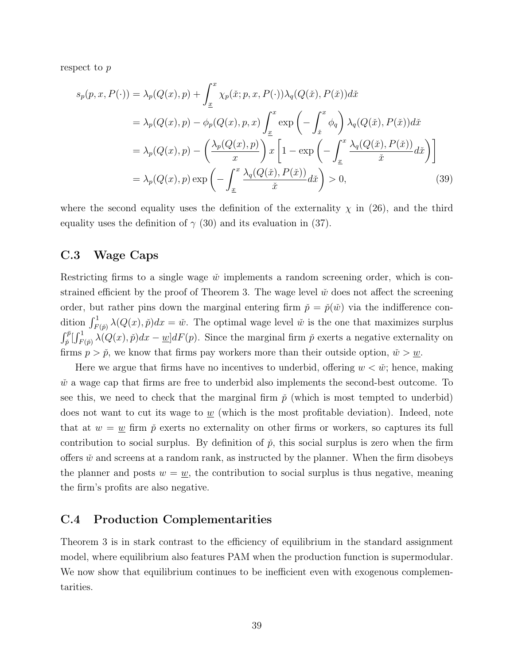respect to p

$$
s_p(p, x, P(\cdot)) = \lambda_p(Q(x), p) + \int_{\underline{x}}^x \chi_p(\check{x}; p, x, P(\cdot)) \lambda_q(Q(\check{x}), P(\check{x})) d\check{x}
$$
  
\n
$$
= \lambda_p(Q(x), p) - \phi_p(Q(x), p, x) \int_{\underline{x}}^x \exp\left(-\int_{\check{x}}^x \phi_q\right) \lambda_q(Q(\check{x}), P(\check{x})) d\check{x}
$$
  
\n
$$
= \lambda_p(Q(x), p) - \left(\frac{\lambda_p(Q(x), p)}{x}\right) x \left[1 - \exp\left(-\int_{\underline{x}}^x \frac{\lambda_q(Q(\check{x}), P(\check{x}))}{\check{x}} d\check{x}\right)\right]
$$
  
\n
$$
= \lambda_p(Q(x), p) \exp\left(-\int_{\underline{x}}^x \frac{\lambda_q(Q(\check{x}), P(\check{x}))}{\check{x}} d\check{x}\right) > 0,
$$
\n(39)

where the second equality uses the definition of the externality  $\chi$  in (26), and the third equality uses the definition of  $\gamma$  (30) and its evaluation in (37).

# C.3 Wage Caps

Restricting firms to a single wage  $\check{w}$  implements a random screening order, which is constrained efficient by the proof of Theorem 3. The wage level  $\check{w}$  does not affect the screening order, but rather pins down the marginal entering firm  $\check{p} = \check{p}(\check{w})$  via the indifference condition  $\int_{F(\tilde{p})}^{1} \lambda(Q(x), \tilde{p}) dx = \tilde{w}$ . The optimal wage level  $\tilde{w}$  is the one that maximizes surplus  $\int_{\tilde{p}}^{\tilde{p}}\left[\int_{F(\tilde{p})}^{1}\tilde{\lambda(Q}(x),\tilde{p})dx-\underline{w}\right]dF(p)$ . Since the marginal firm  $\tilde{p}$  exerts a negative externality on firms  $p > \tilde{p}$ , we know that firms pay workers more than their outside option,  $\tilde{w} > w$ .

Here we argue that firms have no incentives to underbid, offering  $w < \tilde{w}$ ; hence, making  $\check{w}$  a wage cap that firms are free to underbid also implements the second-best outcome. To see this, we need to check that the marginal firm  $\check{p}$  (which is most tempted to underbid) does not want to cut its wage to  $\underline{w}$  (which is the most profitable deviation). Indeed, note that at  $w = w$  firm  $\tilde{p}$  exerts no externality on other firms or workers, so captures its full contribution to social surplus. By definition of  $\tilde{p}$ , this social surplus is zero when the firm offers  $\check{w}$  and screens at a random rank, as instructed by the planner. When the firm disobeys the planner and posts  $w = w$ , the contribution to social surplus is thus negative, meaning the firm's profits are also negative.

## C.4 Production Complementarities

Theorem 3 is in stark contrast to the efficiency of equilibrium in the standard assignment model, where equilibrium also features PAM when the production function is supermodular. We now show that equilibrium continues to be inefficient even with exogenous complementarities.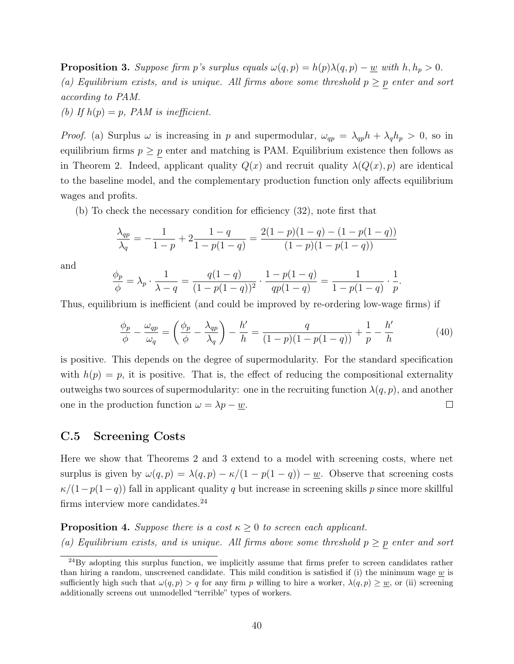**Proposition 3.** Suppose firm p's surplus equals  $\omega(q, p) = h(p)\lambda(q, p) - \underline{w}$  with  $h, h_p > 0$ . (a) Equilibrium exists, and is unique. All firms above some threshold  $p \geq p$  enter and sort according to PAM.

(b) If  $h(p) = p$ , PAM is inefficient.

*Proof.* (a) Surplus  $\omega$  is increasing in p and supermodular,  $\omega_{qp} = \lambda_{qp}h + \lambda_q h_p > 0$ , so in equilibrium firms  $p \geq p$  enter and matching is PAM. Equilibrium existence then follows as in Theorem 2. Indeed, applicant quality  $Q(x)$  and recruit quality  $\lambda(Q(x), p)$  are identical to the baseline model, and the complementary production function only affects equilibrium wages and profits.

(b) To check the necessary condition for efficiency (32), note first that

$$
\frac{\lambda_{qp}}{\lambda_q} = -\frac{1}{1-p} + 2\frac{1-q}{1-p(1-q)} = \frac{2(1-p)(1-q) - (1-p(1-q))}{(1-p)(1-p(1-q))}
$$

and

$$
\frac{\phi_p}{\phi} = \lambda_p \cdot \frac{1}{\lambda - q} = \frac{q(1 - q)}{(1 - p(1 - q))^2} \cdot \frac{1 - p(1 - q)}{qp(1 - q)} = \frac{1}{1 - p(1 - q)} \cdot \frac{1}{p}.
$$

Thus, equilibrium is inefficient (and could be improved by re-ordering low-wage firms) if

$$
\frac{\phi_p}{\phi} - \frac{\omega_{qp}}{\omega_q} = \left(\frac{\phi_p}{\phi} - \frac{\lambda_{qp}}{\lambda_q}\right) - \frac{h'}{h} = \frac{q}{(1-p)(1-p(1-q))} + \frac{1}{p} - \frac{h'}{h} \tag{40}
$$

is positive. This depends on the degree of supermodularity. For the standard specification with  $h(p) = p$ , it is positive. That is, the effect of reducing the compositional externality outweighs two sources of supermodularity: one in the recruiting function  $\lambda(q, p)$ , and another one in the production function  $\omega = \lambda p - \underline{w}$ .  $\Box$ 

### C.5 Screening Costs

Here we show that Theorems 2 and 3 extend to a model with screening costs, where net surplus is given by  $\omega(q, p) = \lambda(q, p) - \kappa/(1 - p(1 - q)) - \underline{w}$ . Observe that screening costs  $\kappa/(1-p(1-q))$  fall in applicant quality q but increase in screening skills p since more skillful firms interview more candidates.<sup>24</sup>

**Proposition 4.** Suppose there is a cost  $\kappa > 0$  to screen each applicant. (a) Equilibrium exists, and is unique. All firms above some threshold  $p \geq p$  enter and sort

 $^{24}$ By adopting this surplus function, we implicitly assume that firms prefer to screen candidates rather than hiring a random, unscreened candidate. This mild condition is satisfied if (i) the minimum wage  $w$  is sufficiently high such that  $\omega(q, p) > q$  for any firm p willing to hire a worker,  $\lambda(q, p) \geq w$ , or (ii) screening additionally screens out unmodelled "terrible" types of workers.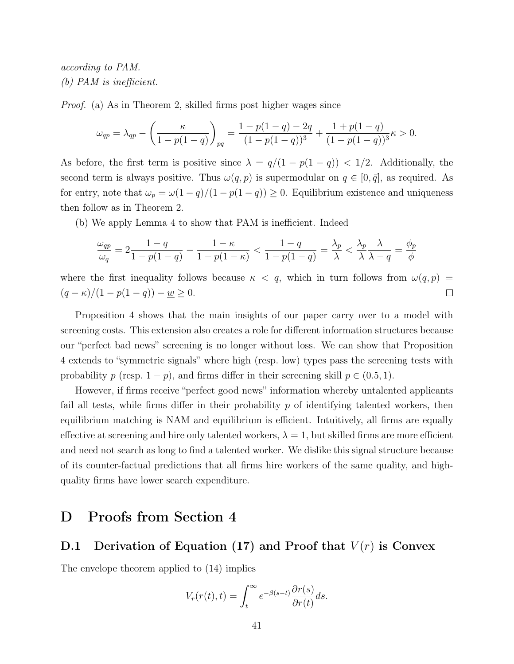according to PAM. (b) PAM is inefficient.

Proof. (a) As in Theorem 2, skilled firms post higher wages since

$$
\omega_{qp} = \lambda_{qp} - \left(\frac{\kappa}{1 - p(1 - q)}\right)_{pq} = \frac{1 - p(1 - q) - 2q}{(1 - p(1 - q))^3} + \frac{1 + p(1 - q)}{(1 - p(1 - q))^3} \kappa > 0.
$$

As before, the first term is positive since  $\lambda = q/(1 - p(1 - q)) < 1/2$ . Additionally, the second term is always positive. Thus  $\omega(q, p)$  is supermodular on  $q \in [0, \bar{q}]$ , as required. As for entry, note that  $\omega_p = \omega(1-q)/(1-p(1-q)) \geq 0$ . Equilibrium existence and uniqueness then follow as in Theorem 2.

(b) We apply Lemma 4 to show that PAM is inefficient. Indeed

$$
\frac{\omega_{qp}}{\omega_q} = 2\frac{1-q}{1-p(1-q)} - \frac{1-\kappa}{1-p(1-\kappa)} < \frac{1-q}{1-p(1-q)} = \frac{\lambda_p}{\lambda} < \frac{\lambda_p}{\lambda} \frac{\lambda}{\lambda-q} = \frac{\phi_p}{\phi}
$$

where the first inequality follows because  $\kappa < q$ , which in turn follows from  $\omega(q, p)$  =  $(q - \kappa)/(1 - p(1 - q)) - \underline{w} \ge 0.$  $\Box$ 

Proposition 4 shows that the main insights of our paper carry over to a model with screening costs. This extension also creates a role for different information structures because our "perfect bad news" screening is no longer without loss. We can show that Proposition 4 extends to "symmetric signals" where high (resp. low) types pass the screening tests with probability p (resp.  $1 - p$ ), and firms differ in their screening skill  $p \in (0.5, 1)$ .

However, if firms receive "perfect good news" information whereby untalented applicants fail all tests, while firms differ in their probability  $p$  of identifying talented workers, then equilibrium matching is NAM and equilibrium is efficient. Intuitively, all firms are equally effective at screening and hire only talented workers,  $\lambda = 1$ , but skilled firms are more efficient and need not search as long to find a talented worker. We dislike this signal structure because of its counter-factual predictions that all firms hire workers of the same quality, and highquality firms have lower search expenditure.

# D Proofs from Section 4

## D.1 Derivation of Equation (17) and Proof that  $V(r)$  is Convex

The envelope theorem applied to (14) implies

$$
V_r(r(t),t) = \int_t^{\infty} e^{-\beta(s-t)} \frac{\partial r(s)}{\partial r(t)} ds.
$$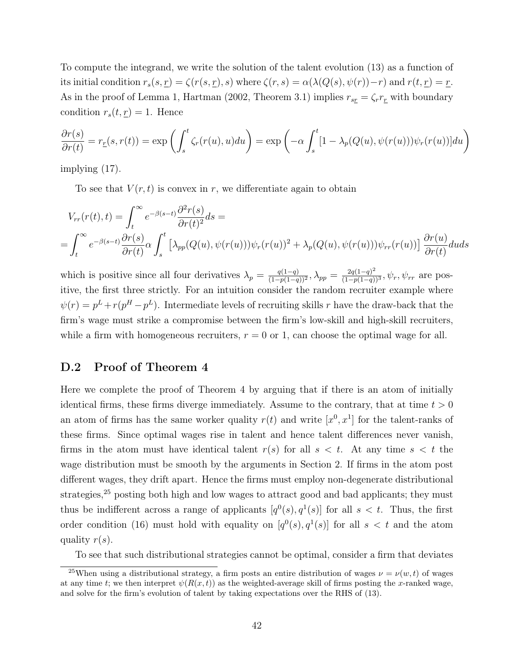To compute the integrand, we write the solution of the talent evolution (13) as a function of its initial condition  $r_s(s, \underline{r}) = \zeta(r(s, \underline{r}), s)$  where  $\zeta(r, s) = \alpha(\lambda(Q(s), \psi(r)) - r)$  and  $r(t, \underline{r}) = \underline{r}$ . As in the proof of Lemma 1, Hartman (2002, Theorem 3.1) implies  $r_{s_{\underline{r}}} = \zeta_r r_{\underline{r}}$  with boundary condition  $r_s(t, \underline{r}) = 1$ . Hence

$$
\frac{\partial r(s)}{\partial r(t)} = r_{\underline{r}}(s, r(t)) = \exp\left(\int_s^t \zeta_r(r(u), u) du\right) = \exp\left(-\alpha \int_s^t [1 - \lambda_p(Q(u), \psi(r(u)))\psi_r(r(u))] du\right)
$$

implying (17).

To see that  $V(r, t)$  is convex in r, we differentiate again to obtain

$$
V_{rr}(r(t),t) = \int_{t}^{\infty} e^{-\beta(s-t)} \frac{\partial^{2} r(s)}{\partial r(t)^{2}} ds =
$$
  
= 
$$
\int_{t}^{\infty} e^{-\beta(s-t)} \frac{\partial r(s)}{\partial r(t)} \alpha \int_{s}^{t} \left[ \lambda_{pp}(Q(u), \psi(r(u))) \psi_{r}(r(u))^{2} + \lambda_{p}(Q(u), \psi(r(u))) \psi_{rr}(r(u)) \right] \frac{\partial r(u)}{\partial r(t)} du ds
$$

which is positive since all four derivatives  $\lambda_p = \frac{q(1-q)}{(1-p)(1-q)}$  $\frac{q(1-q)}{(1-p(1-q))^2}, \lambda_{pp} = \frac{2q(1-q)^2}{(1-p(1-q))}$  $\frac{2q(1-q)^2}{(1-p(1-q))^3}$ ,  $\psi_r$ ,  $\psi_{rr}$  are positive, the first three strictly. For an intuition consider the random recruiter example where  $\psi(r) = p^L + r(p^H - p^L)$ . Intermediate levels of recruiting skills r have the draw-back that the firm's wage must strike a compromise between the firm's low-skill and high-skill recruiters, while a firm with homogeneous recruiters,  $r = 0$  or 1, can choose the optimal wage for all.

# D.2 Proof of Theorem 4

Here we complete the proof of Theorem 4 by arguing that if there is an atom of initially identical firms, these firms diverge immediately. Assume to the contrary, that at time  $t > 0$ an atom of firms has the same worker quality  $r(t)$  and write  $[x^0, x^1]$  for the talent-ranks of these firms. Since optimal wages rise in talent and hence talent differences never vanish, firms in the atom must have identical talent  $r(s)$  for all  $s < t$ . At any time  $s < t$  the wage distribution must be smooth by the arguments in Section 2. If firms in the atom post different wages, they drift apart. Hence the firms must employ non-degenerate distributional strategies, $25$  posting both high and low wages to attract good and bad applicants; they must thus be indifferent across a range of applicants  $[q^{0}(s), q^{1}(s)]$  for all  $s < t$ . Thus, the first order condition (16) must hold with equality on  $[q^{0}(s), q^{1}(s)]$  for all  $s < t$  and the atom quality  $r(s)$ .

To see that such distributional strategies cannot be optimal, consider a firm that deviates

<sup>&</sup>lt;sup>25</sup>When using a distributional strategy, a firm posts an entire distribution of wages  $\nu = \nu(w, t)$  of wages at any time t; we then interpret  $\psi(R(x,t))$  as the weighted-average skill of firms posting the x-ranked wage, and solve for the firm's evolution of talent by taking expectations over the RHS of (13).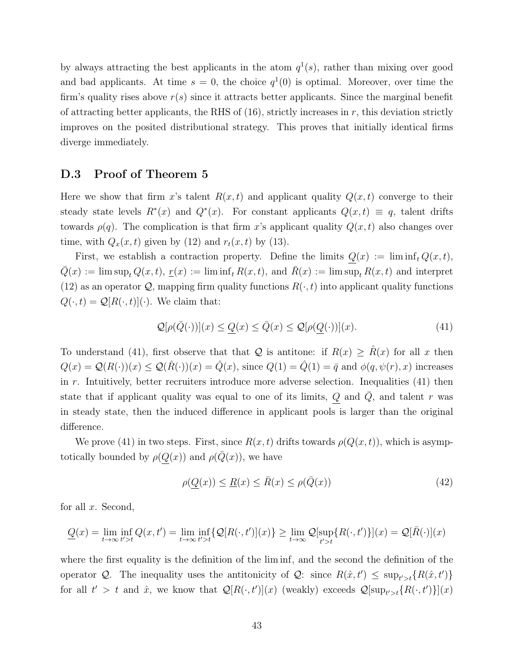by always attracting the best applicants in the atom  $q^1(s)$ , rather than mixing over good and bad applicants. At time  $s = 0$ , the choice  $q^1(0)$  is optimal. Moreover, over time the firm's quality rises above  $r(s)$  since it attracts better applicants. Since the marginal benefit of attracting better applicants, the RHS of  $(16)$ , strictly increases in r, this deviation strictly improves on the posited distributional strategy. This proves that initially identical firms diverge immediately.

## D.3 Proof of Theorem 5

Here we show that firm x's talent  $R(x,t)$  and applicant quality  $Q(x,t)$  converge to their steady state levels  $R^*(x)$  and  $Q^*(x)$ . For constant applicants  $Q(x,t) \equiv q$ , talent drifts towards  $\rho(q)$ . The complication is that firm x's applicant quality  $Q(x, t)$  also changes over time, with  $Q_x(x, t)$  given by (12) and  $r_t(x, t)$  by (13).

First, we establish a contraction property. Define the limits  $Q(x) := \liminf_t Q(x, t)$ ,  $\overline{Q}(x) := \limsup_t Q(x, t), \underline{r}(x) := \liminf_t R(x, t), \text{ and } \overline{R}(x) := \limsup_t R(x, t) \text{ and interpret}$ (12) as an operator  $Q$ , mapping firm quality functions  $R(\cdot, t)$  into applicant quality functions  $Q(\cdot, t) = \mathcal{Q}[R(\cdot, t)](\cdot)$ . We claim that:

$$
\mathcal{Q}[\rho(\bar{Q}(\cdot))](x) \le \underline{Q}(x) \le \bar{Q}(x) \le \mathcal{Q}[\rho(\underline{Q}(\cdot))](x). \tag{41}
$$

To understand (41), first observe that that Q is antitone: if  $R(x) \ge R(x)$  for all x then  $Q(x) = Q(R(\cdot))(x) \leq Q(\hat{R}(\cdot))(x) = \hat{Q}(x)$ , since  $Q(1) = \hat{Q}(1) = \bar{q}$  and  $\phi(q, \psi(r), x)$  increases in  $r$ . Intuitively, better recruiters introduce more adverse selection. Inequalities  $(41)$  then state that if applicant quality was equal to one of its limits,  $Q$  and  $\overline{Q}$ , and talent r was in steady state, then the induced difference in applicant pools is larger than the original difference.

We prove (41) in two steps. First, since  $R(x, t)$  drifts towards  $\rho(Q(x, t))$ , which is asymptotically bounded by  $\rho(Q(x))$  and  $\rho(\bar{Q}(x))$ , we have

$$
\rho(\underline{Q}(x)) \le \underline{R}(x) \le \overline{R}(x) \le \rho(\overline{Q}(x))\tag{42}
$$

for all  $x$ . Second,

$$
Q(x) = \lim_{t \to \infty} \inf_{t' > t} Q(x, t') = \lim_{t \to \infty} \inf_{t' > t} \{ Q[R(\cdot, t')](x) \} \ge \lim_{t \to \infty} Q[\sup_{t' > t} \{ R(\cdot, t') \}](x) = Q[\overline{R}(\cdot)](x)
$$

where the first equality is the definition of the lim inf, and the second the definition of the operator Q. The inequality uses the antitonicity of Q: since  $R(\hat{x}, t') \le \sup_{t'>t} \{R(\hat{x}, t')\}$ for all  $t' > t$  and  $\hat{x}$ , we know that  $\mathcal{Q}[R(\cdot, t')](x)$  (weakly) exceeds  $\mathcal{Q}[\sup_{t' > t} \{R(\cdot, t')\}(x)]$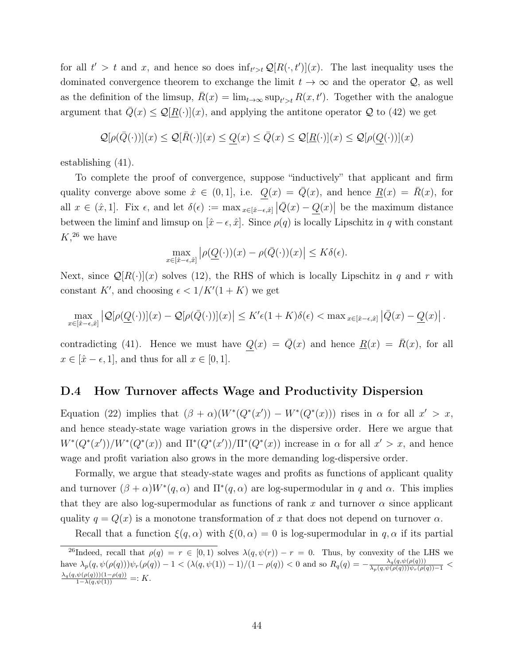for all  $t' > t$  and x, and hence so does  $\inf_{t' > t} \mathcal{Q}[R(\cdot, t')](x)$ . The last inequality uses the dominated convergence theorem to exchange the limit  $t \to \infty$  and the operator  $\mathcal{Q}$ , as well as the definition of the limsup,  $\bar{R}(x) = \lim_{t \to \infty} \sup_{t' > t} R(x, t')$ . Together with the analogue argument that  $\overline{Q}(x) \leq \mathcal{Q}[\underline{R}(\cdot)](x)$ , and applying the antitone operator  $\mathcal Q$  to (42) we get

$$
\mathcal{Q}[\rho(\bar{Q}(\cdot))](x)\leq \mathcal{Q}[\bar{R}(\cdot)](x)\leq \underline{Q}(x)\leq \bar{Q}(x)\leq \mathcal{Q}[\underline{R}(\cdot)](x)\leq \mathcal{Q}[\rho(\underline{Q}(\cdot))](x)
$$

establishing (41).

To complete the proof of convergence, suppose "inductively" that applicant and firm quality converge above some  $\hat{x} \in (0,1]$ , i.e.  $Q(x) = \overline{Q}(x)$ , and hence  $\underline{R}(x) = \overline{R}(x)$ , for all  $x \in (\hat{x}, 1]$ . Fix  $\epsilon$ , and let  $\delta(\epsilon) := \max_{x \in [\hat{x} - \epsilon, \hat{x}]} |\bar{Q}(x) - \underline{Q}(x)|$  be the maximum distance between the liminf and limsup on  $[\hat{x}-\epsilon, \hat{x}]$ . Since  $\rho(q)$  is locally Lipschitz in q with constant  $K,^{26}$  we have

$$
\max_{x \in [\hat{x} - \epsilon, \hat{x}]} |\rho(\underline{Q}(\cdot))(x) - \rho(\bar{Q}(\cdot))(x)| \le K\delta(\epsilon).
$$

Next, since  $\mathcal{Q}[R(\cdot)](x)$  solves (12), the RHS of which is locally Lipschitz in q and r with constant K', and choosing  $\epsilon < 1/K'(1+K)$  we get

$$
\max_{x \in [\hat{x} - \epsilon, \hat{x}]} |\mathcal{Q}[\rho(\underline{Q}(\cdot))](x) - \mathcal{Q}[\rho(\bar{Q}(\cdot))](x)| \leq K'\epsilon(1 + K)\delta(\epsilon) < \max_{x \in [\hat{x} - \epsilon, \hat{x}]} |\bar{Q}(x) - \underline{Q}(x)|.
$$

contradicting (41). Hence we must have  $Q(x) = \overline{Q}(x)$  and hence  $\underline{R}(x) = \overline{R}(x)$ , for all  $x \in [\hat{x} - \epsilon, 1]$ , and thus for all  $x \in [0, 1]$ .

# D.4 How Turnover affects Wage and Productivity Dispersion

Equation (22) implies that  $(\beta + \alpha)(W^*(Q^*(x')) - W^*(Q^*(x)))$  rises in  $\alpha$  for all  $x' > x$ , and hence steady-state wage variation grows in the dispersive order. Here we argue that  $W^*(Q^*(x'))/W^*(Q^*(x))$  and  $\Pi^*(Q^*(x'))/\Pi^*(Q^*(x))$  increase in  $\alpha$  for all  $x' > x$ , and hence wage and profit variation also grows in the more demanding log-dispersive order.

Formally, we argue that steady-state wages and profits as functions of applicant quality and turnover  $(\beta + \alpha)W^*(q, \alpha)$  and  $\Pi^*(q, \alpha)$  are log-supermodular in q and  $\alpha$ . This implies that they are also log-supermodular as functions of rank x and turnover  $\alpha$  since applicant quality  $q = Q(x)$  is a monotone transformation of x that does not depend on turnover  $\alpha$ .

Recall that a function  $\xi(q,\alpha)$  with  $\xi(0,\alpha) = 0$  is log-supermodular in  $q,\alpha$  if its partial

<sup>&</sup>lt;sup>26</sup>Indeed, recall that  $\rho(q) = r \in [0,1)$  solves  $\lambda(q, \psi(r)) - r = 0$ . Thus, by convexity of the LHS we have  $\lambda_p(q, \psi(\rho(q)))\psi_r(\rho(q)) - 1 < (\lambda(q, \psi(1)) - 1)/(1 - \rho(q)) < 0$  and so  $R_q(q) = -\frac{\lambda_q(q, \psi(\rho(q)))}{\lambda_p(q, \psi(\rho(q)))\psi_r(\rho(q)) - 1}$  $\frac{\lambda_q(q, \psi(\rho(q)))(1-\rho(q))}{1-\lambda(q, \psi(1))} =: K.$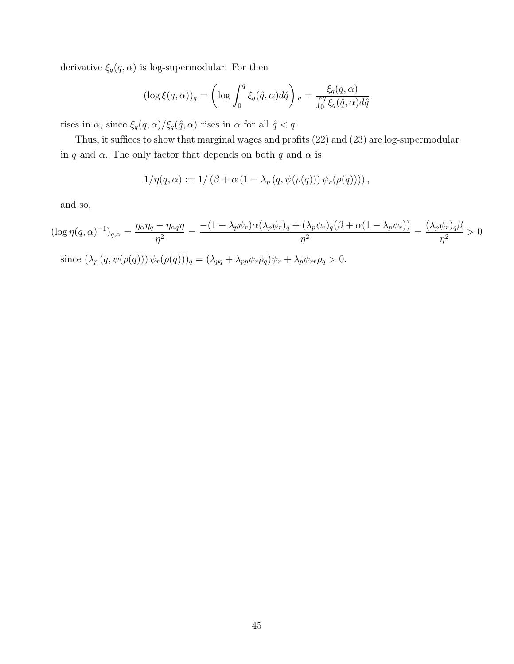derivative  $\xi_q(q,\alpha)$  is log-supermodular: For then

$$
(\log \xi(q,\alpha))_q = \left(\log \int_0^q \xi_q(\hat{q},\alpha) d\hat{q}\right)_q = \frac{\xi_q(q,\alpha)}{\int_0^q \xi_q(\hat{q},\alpha) d\hat{q}}
$$

rises in  $\alpha$ , since  $\xi_q(q,\alpha)/\xi_q(\hat{q},\alpha)$  rises in  $\alpha$  for all  $\hat{q} < q$ .

Thus, it suffices to show that marginal wages and profits (22) and (23) are log-supermodular in q and  $\alpha$ . The only factor that depends on both q and  $\alpha$  is

$$
1/\eta(q,\alpha) := 1/ \left(\beta + \alpha \left(1 - \lambda_p(q, \psi(\rho(q))) \psi_r(\rho(q))\right)\right),
$$

and so,

$$
(\log \eta(q, \alpha)^{-1})_{q, \alpha} = \frac{\eta_{\alpha} \eta_q - \eta_{\alpha q} \eta}{\eta^2} = \frac{-(1 - \lambda_p \psi_r) \alpha (\lambda_p \psi_r)_q + (\lambda_p \psi_r)_q (\beta + \alpha (1 - \lambda_p \psi_r))}{\eta^2} = \frac{(\lambda_p \psi_r)_q \beta}{\eta^2} > 0
$$
  
since  $(\lambda_p(q, \psi(\rho(q))) \psi_r(\rho(q)))_q = (\lambda_{pq} + \lambda_{pp} \psi_r \rho_q) \psi_r + \lambda_p \psi_{rr} \rho_q > 0.$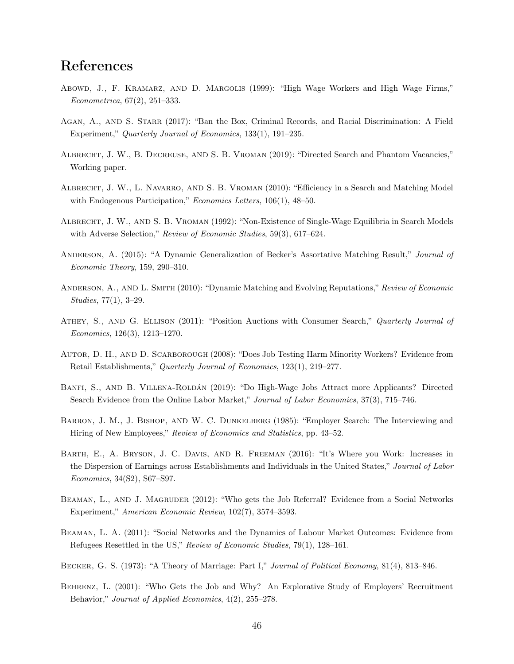# References

- Abowd, J., F. KRAMARZ, AND D. MARGOLIS (1999): "High Wage Workers and High Wage Firms," Econometrica, 67(2), 251–333.
- AGAN, A., AND S. STARR (2017): "Ban the Box, Criminal Records, and Racial Discrimination: A Field Experiment," Quarterly Journal of Economics, 133(1), 191–235.
- Albrecht, J. W., B. Decreuse, and S. B. Vroman (2019): "Directed Search and Phantom Vacancies," Working paper.
- ALBRECHT, J. W., L. NAVARRO, AND S. B. VROMAN (2010): "Efficiency in a Search and Matching Model with Endogenous Participation," *Economics Letters*, 106(1), 48–50.
- Albrecht, J. W., and S. B. Vroman (1992): "Non-Existence of Single-Wage Equilibria in Search Models with Adverse Selection," Review of Economic Studies, 59(3), 617–624.
- Anderson, A. (2015): "A Dynamic Generalization of Becker's Assortative Matching Result," Journal of Economic Theory, 159, 290–310.
- Anderson, A., and L. Smith (2010): "Dynamic Matching and Evolving Reputations," Review of Economic Studies, 77(1), 3–29.
- ATHEY, S., AND G. ELLISON (2011): "Position Auctions with Consumer Search," Quarterly Journal of Economics, 126(3), 1213–1270.
- Autor, D. H., and D. Scarborough (2008): "Does Job Testing Harm Minority Workers? Evidence from Retail Establishments," Quarterly Journal of Economics, 123(1), 219–277.
- Banfi, S., and B. Villena-Roldán (2019): "Do High-Wage Jobs Attract more Applicants? Directed Search Evidence from the Online Labor Market," Journal of Labor Economics, 37(3), 715–746.
- BARRON, J. M., J. BISHOP, AND W. C. DUNKELBERG (1985): "Employer Search: The Interviewing and Hiring of New Employees," Review of Economics and Statistics, pp. 43–52.
- Barth, E., A. Bryson, J. C. Davis, and R. Freeman (2016): "It's Where you Work: Increases in the Dispersion of Earnings across Establishments and Individuals in the United States," Journal of Labor Economics, 34(S2), S67–S97.
- BEAMAN, L., AND J. MAGRUDER (2012): "Who gets the Job Referral? Evidence from a Social Networks Experiment," American Economic Review, 102(7), 3574–3593.
- Beaman, L. A. (2011): "Social Networks and the Dynamics of Labour Market Outcomes: Evidence from Refugees Resettled in the US," Review of Economic Studies, 79(1), 128–161.
- Becker, G. S. (1973): "A Theory of Marriage: Part I," Journal of Political Economy, 81(4), 813–846.
- Behrenz, L. (2001): "Who Gets the Job and Why? An Explorative Study of Employers' Recruitment Behavior," Journal of Applied Economics, 4(2), 255–278.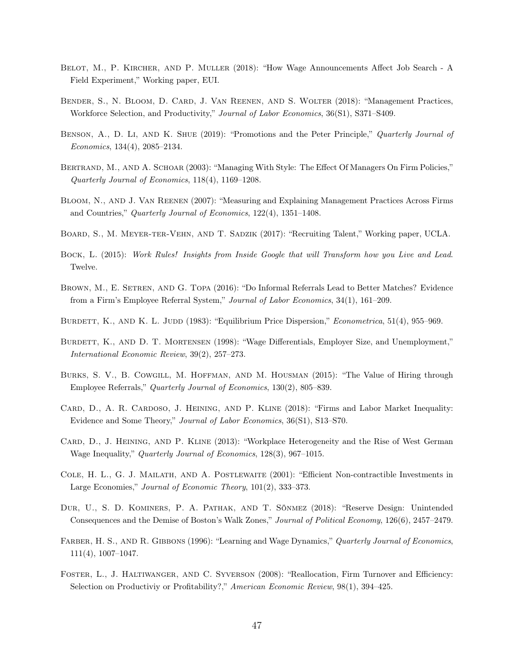- Belot, M., P. Kircher, and P. Muller (2018): "How Wage Announcements Affect Job Search A Field Experiment," Working paper, EUI.
- Bender, S., N. Bloom, D. Card, J. Van Reenen, and S. Wolter (2018): "Management Practices, Workforce Selection, and Productivity," Journal of Labor Economics, 36(S1), S371–S409.
- BENSON, A., D. Li, AND K. SHUE (2019): "Promotions and the Peter Principle," Quarterly Journal of Economics, 134(4), 2085–2134.
- BERTRAND, M., AND A. SCHOAR (2003): "Managing With Style: The Effect Of Managers On Firm Policies," Quarterly Journal of Economics, 118(4), 1169–1208.
- Bloom, N., and J. Van Reenen (2007): "Measuring and Explaining Management Practices Across Firms and Countries," Quarterly Journal of Economics, 122(4), 1351–1408.
- Board, S., M. Meyer-ter-Vehn, and T. Sadzik (2017): "Recruiting Talent," Working paper, UCLA.
- BOCK, L. (2015): Work Rules! Insights from Inside Google that will Transform how you Live and Lead. Twelve.
- BROWN, M., E. SETREN, AND G. TOPA (2016): "Do Informal Referrals Lead to Better Matches? Evidence from a Firm's Employee Referral System," Journal of Labor Economics, 34(1), 161–209.
- BURDETT, K., AND K. L. JUDD (1983): "Equilibrium Price Dispersion," *Econometrica*, 51(4), 955–969.
- BURDETT, K., AND D. T. MORTENSEN (1998): "Wage Differentials, Employer Size, and Unemployment," International Economic Review, 39(2), 257–273.
- BURKS, S. V., B. COWGILL, M. HOFFMAN, AND M. HOUSMAN (2015): "The Value of Hiring through Employee Referrals," Quarterly Journal of Economics, 130(2), 805–839.
- CARD, D., A. R. CARDOSO, J. HEINING, AND P. KLINE (2018): "Firms and Labor Market Inequality: Evidence and Some Theory," Journal of Labor Economics, 36(S1), S13–S70.
- CARD, D., J. HEINING, AND P. KLINE (2013): "Workplace Heterogeneity and the Rise of West German Wage Inequality," Quarterly Journal of Economics, 128(3), 967–1015.
- Cole, H. L., G. J. Mailath, and A. Postlewaite (2001): "Efficient Non-contractible Investments in Large Economies," Journal of Economic Theory, 101(2), 333–373.
- Dur, U., S. D. Kominers, P. A. Pathak, and T. Sönmez (2018): "Reserve Design: Unintended Consequences and the Demise of Boston's Walk Zones," Journal of Political Economy, 126(6), 2457–2479.
- FARBER, H. S., AND R. GIBBONS (1996): "Learning and Wage Dynamics," Quarterly Journal of Economics, 111(4), 1007–1047.
- FOSTER, L., J. HALTIWANGER, AND C. SYVERSON (2008): "Reallocation, Firm Turnover and Efficiency: Selection on Productiviy or Profitability?," American Economic Review, 98(1), 394–425.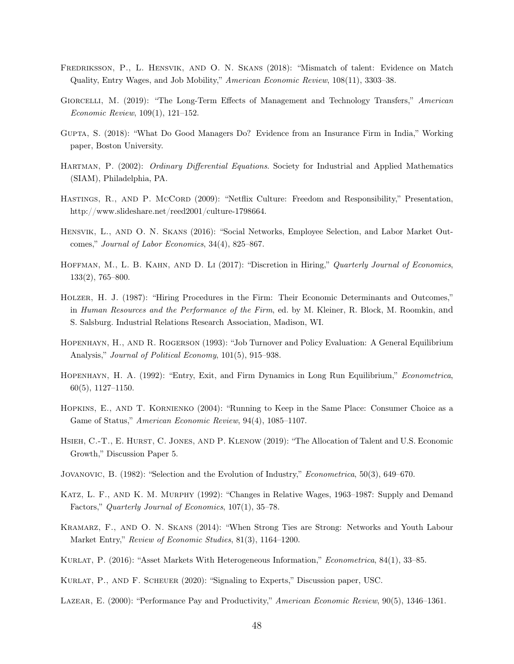- Fredriksson, P., L. Hensvik, and O. N. Skans (2018): "Mismatch of talent: Evidence on Match Quality, Entry Wages, and Job Mobility," American Economic Review, 108(11), 3303–38.
- GIORCELLI, M. (2019): "The Long-Term Effects of Management and Technology Transfers," American Economic Review, 109(1), 121–152.
- Gupta, S. (2018): "What Do Good Managers Do? Evidence from an Insurance Firm in India," Working paper, Boston University.
- HARTMAN, P. (2002): *Ordinary Differential Equations*. Society for Industrial and Applied Mathematics (SIAM), Philadelphia, PA.
- HASTINGS, R., AND P. MCCORD (2009): "Netflix Culture: Freedom and Responsibility," Presentation, http://www.slideshare.net/reed2001/culture-1798664.
- Hensvik, L., and O. N. Skans (2016): "Social Networks, Employee Selection, and Labor Market Outcomes," Journal of Labor Economics, 34(4), 825–867.
- HOFFMAN, M., L. B. KAHN, AND D. Li (2017): "Discretion in Hiring," Quarterly Journal of Economics, 133(2), 765–800.
- Holzer, H. J. (1987): "Hiring Procedures in the Firm: Their Economic Determinants and Outcomes," in Human Resources and the Performance of the Firm, ed. by M. Kleiner, R. Block, M. Roomkin, and S. Salsburg. Industrial Relations Research Association, Madison, WI.
- Hopenhayn, H., and R. Rogerson (1993): "Job Turnover and Policy Evaluation: A General Equilibrium Analysis," Journal of Political Economy, 101(5), 915–938.
- HOPENHAYN, H. A. (1992): "Entry, Exit, and Firm Dynamics in Long Run Equilibrium," *Econometrica*, 60(5), 1127–1150.
- Hopkins, E., and T. Kornienko (2004): "Running to Keep in the Same Place: Consumer Choice as a Game of Status," American Economic Review, 94(4), 1085–1107.
- Hsieh, C.-T., E. Hurst, C. Jones, and P. Klenow (2019): "The Allocation of Talent and U.S. Economic Growth," Discussion Paper 5.
- Jovanovic, B. (1982): "Selection and the Evolution of Industry," Econometrica, 50(3), 649–670.
- Katz, L. F., and K. M. Murphy (1992): "Changes in Relative Wages, 1963–1987: Supply and Demand Factors," Quarterly Journal of Economics, 107(1), 35–78.
- Kramarz, F., and O. N. Skans (2014): "When Strong Ties are Strong: Networks and Youth Labour Market Entry," Review of Economic Studies, 81(3), 1164–1200.
- Kurlat, P. (2016): "Asset Markets With Heterogeneous Information," Econometrica, 84(1), 33–85.
- Kurlat, P., and F. Scheuer (2020): "Signaling to Experts," Discussion paper, USC.
- Lazear, E. (2000): "Performance Pay and Productivity," American Economic Review, 90(5), 1346–1361.